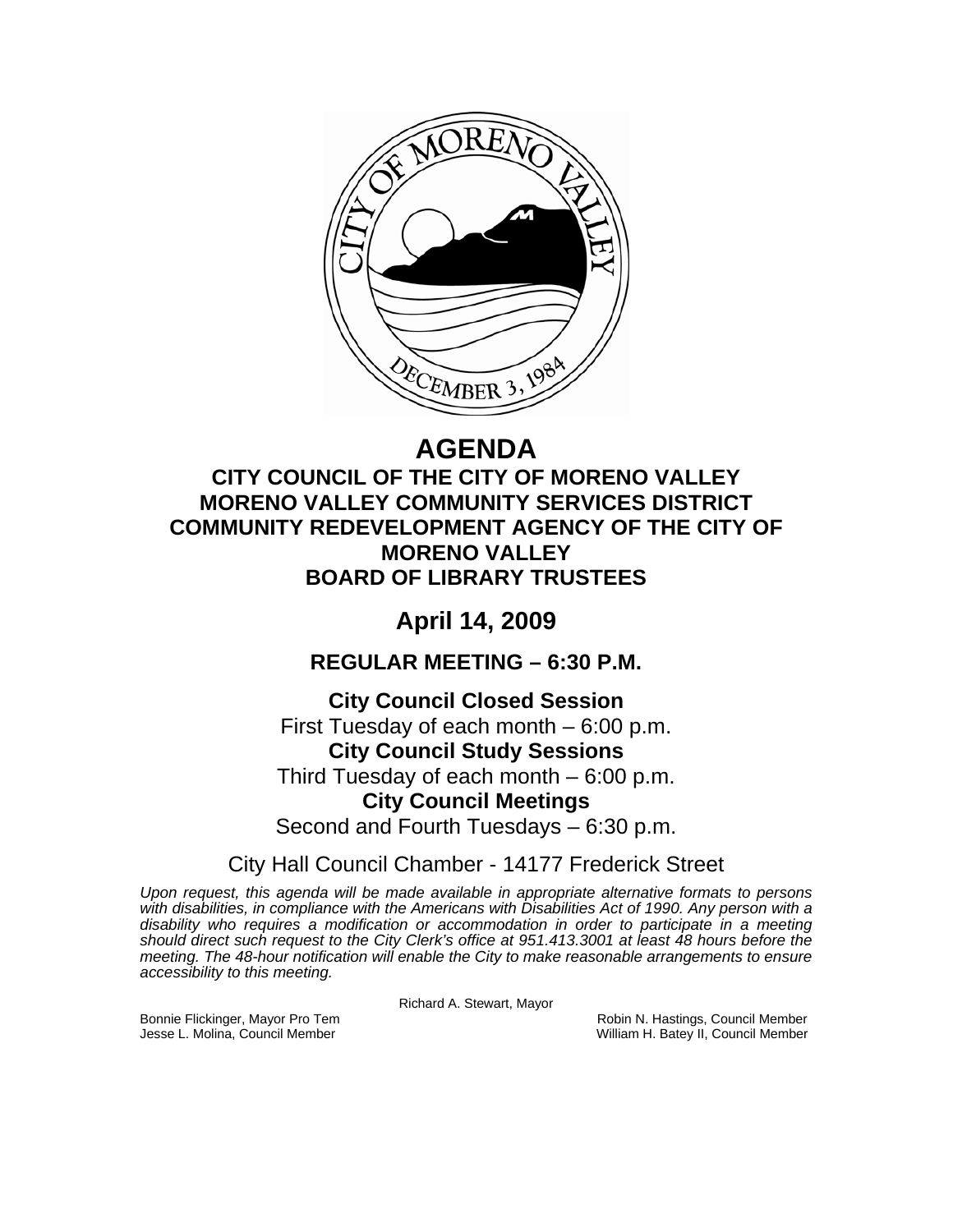

# **AGENDA**

## **CITY COUNCIL OF THE CITY OF MORENO VALLEY MORENO VALLEY COMMUNITY SERVICES DISTRICT COMMUNITY REDEVELOPMENT AGENCY OF THE CITY OF MORENO VALLEY BOARD OF LIBRARY TRUSTEES**

## **April 14, 2009**

**REGULAR MEETING – 6:30 P.M.** 

**City Council Closed Session**  First Tuesday of each month – 6:00 p.m. **City Council Study Sessions**  Third Tuesday of each month – 6:00 p.m. **City Council Meetings**  Second and Fourth Tuesdays – 6:30 p.m.

City Hall Council Chamber - 14177 Frederick Street

*Upon request, this agenda will be made available in appropriate alternative formats to persons*  with disabilities, in compliance with the Americans with Disabilities Act of 1990. Any person with a *disability who requires a modification or accommodation in order to participate in a meeting should direct such request to the City Clerk's office at 951.413.3001 at least 48 hours before the meeting. The 48-hour notification will enable the City to make reasonable arrangements to ensure accessibility to this meeting.* 

Richard A. Stewart, Mayor

Bonnie Flickinger, Mayor Pro Tem **Robin Access of Tem Robin N. Hastings, Council Member**<br>Jesse L. Molina, Council Member **New York Council Member** William H. Batey II, Council Member William H. Batey II, Council Member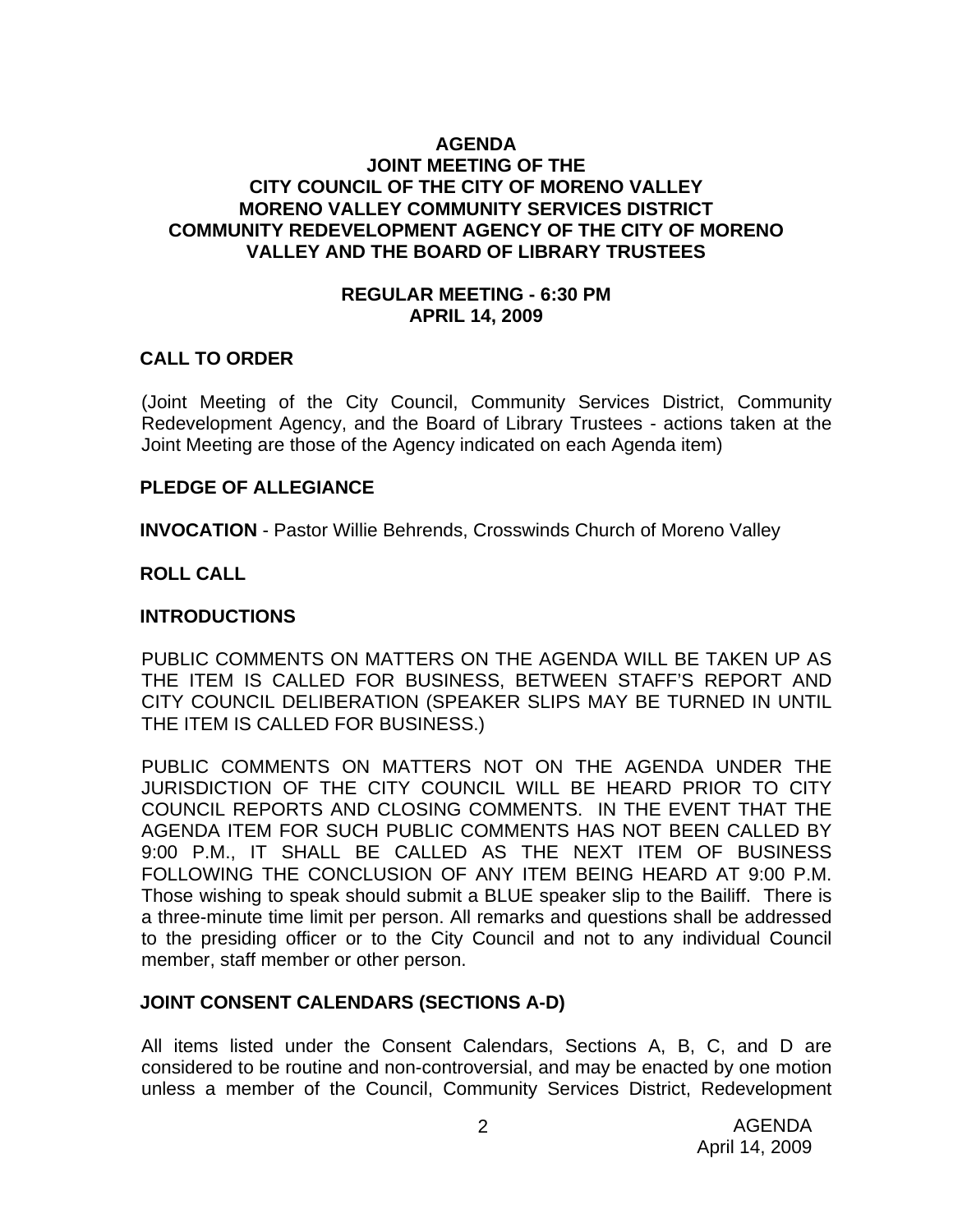### **AGENDA JOINT MEETING OF THE CITY COUNCIL OF THE CITY OF MORENO VALLEY MORENO VALLEY COMMUNITY SERVICES DISTRICT COMMUNITY REDEVELOPMENT AGENCY OF THE CITY OF MORENO VALLEY AND THE BOARD OF LIBRARY TRUSTEES**

#### **REGULAR MEETING - 6:30 PM APRIL 14, 2009**

#### **CALL TO ORDER**

(Joint Meeting of the City Council, Community Services District, Community Redevelopment Agency, and the Board of Library Trustees - actions taken at the Joint Meeting are those of the Agency indicated on each Agenda item)

#### **PLEDGE OF ALLEGIANCE**

**INVOCATION** - Pastor Willie Behrends, Crosswinds Church of Moreno Valley

#### **ROLL CALL**

#### **INTRODUCTIONS**

PUBLIC COMMENTS ON MATTERS ON THE AGENDA WILL BE TAKEN UP AS THE ITEM IS CALLED FOR BUSINESS, BETWEEN STAFF'S REPORT AND CITY COUNCIL DELIBERATION (SPEAKER SLIPS MAY BE TURNED IN UNTIL THE ITEM IS CALLED FOR BUSINESS.)

PUBLIC COMMENTS ON MATTERS NOT ON THE AGENDA UNDER THE JURISDICTION OF THE CITY COUNCIL WILL BE HEARD PRIOR TO CITY COUNCIL REPORTS AND CLOSING COMMENTS. IN THE EVENT THAT THE AGENDA ITEM FOR SUCH PUBLIC COMMENTS HAS NOT BEEN CALLED BY 9:00 P.M., IT SHALL BE CALLED AS THE NEXT ITEM OF BUSINESS FOLLOWING THE CONCLUSION OF ANY ITEM BEING HEARD AT 9:00 P.M. Those wishing to speak should submit a BLUE speaker slip to the Bailiff. There is a three-minute time limit per person. All remarks and questions shall be addressed to the presiding officer or to the City Council and not to any individual Council member, staff member or other person.

#### **JOINT CONSENT CALENDARS (SECTIONS A-D)**

All items listed under the Consent Calendars, Sections A, B, C, and D are considered to be routine and non-controversial, and may be enacted by one motion unless a member of the Council, Community Services District, Redevelopment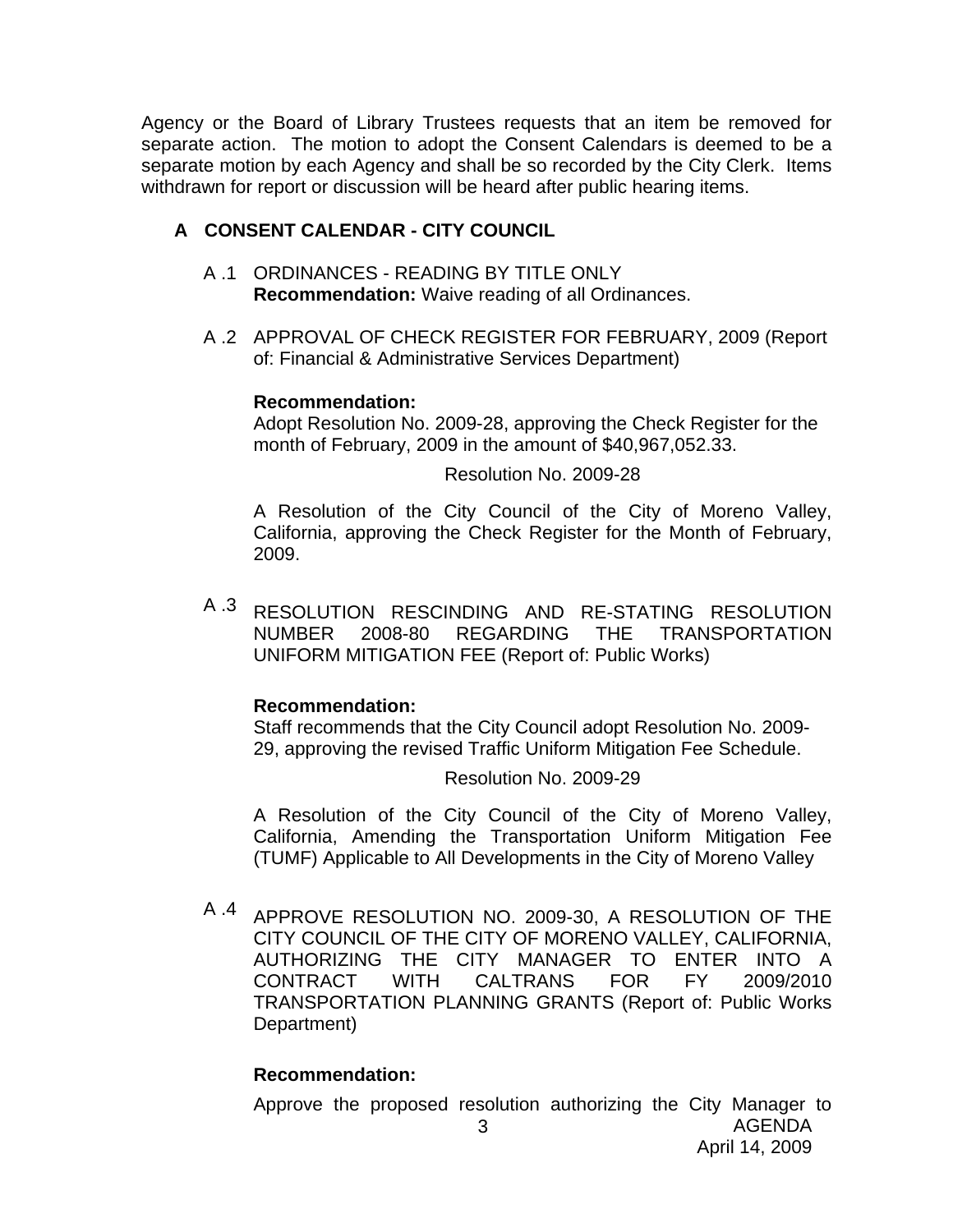Agency or the Board of Library Trustees requests that an item be removed for separate action. The motion to adopt the Consent Calendars is deemed to be a separate motion by each Agency and shall be so recorded by the City Clerk. Items withdrawn for report or discussion will be heard after public hearing items.

## **A CONSENT CALENDAR - CITY COUNCIL**

- A .1 ORDINANCES READING BY TITLE ONLY **Recommendation:** Waive reading of all Ordinances.
- A .2 APPROVAL OF CHECK REGISTER FOR FEBRUARY, 2009 (Report of: Financial & Administrative Services Department)

## **Recommendation:**

Adopt Resolution No. 2009-28, approving the Check Register for the month of February, 2009 in the amount of \$40,967,052.33.

Resolution No. 2009-28

A Resolution of the City Council of the City of Moreno Valley, California, approving the Check Register for the Month of February, 2009.

A .3 RESOLUTION RESCINDING AND RE-STATING RESOLUTION NUMBER 2008-80 REGARDING THE TRANSPORTATION UNIFORM MITIGATION FEE (Report of: Public Works)

### **Recommendation:**

Staff recommends that the City Council adopt Resolution No. 2009- 29, approving the revised Traffic Uniform Mitigation Fee Schedule.

Resolution No. 2009-29

A Resolution of the City Council of the City of Moreno Valley, California, Amending the Transportation Uniform Mitigation Fee (TUMF) Applicable to All Developments in the City of Moreno Valley

A .4 APPROVE RESOLUTION NO. 2009-30, A RESOLUTION OF THE CITY COUNCIL OF THE CITY OF MORENO VALLEY, CALIFORNIA, AUTHORIZING THE CITY MANAGER TO ENTER INTO A CONTRACT WITH CALTRANS FOR FY 2009/2010 TRANSPORTATION PLANNING GRANTS (Report of: Public Works Department)

## **Recommendation:**

Approve the proposed resolution authorizing the City Manager to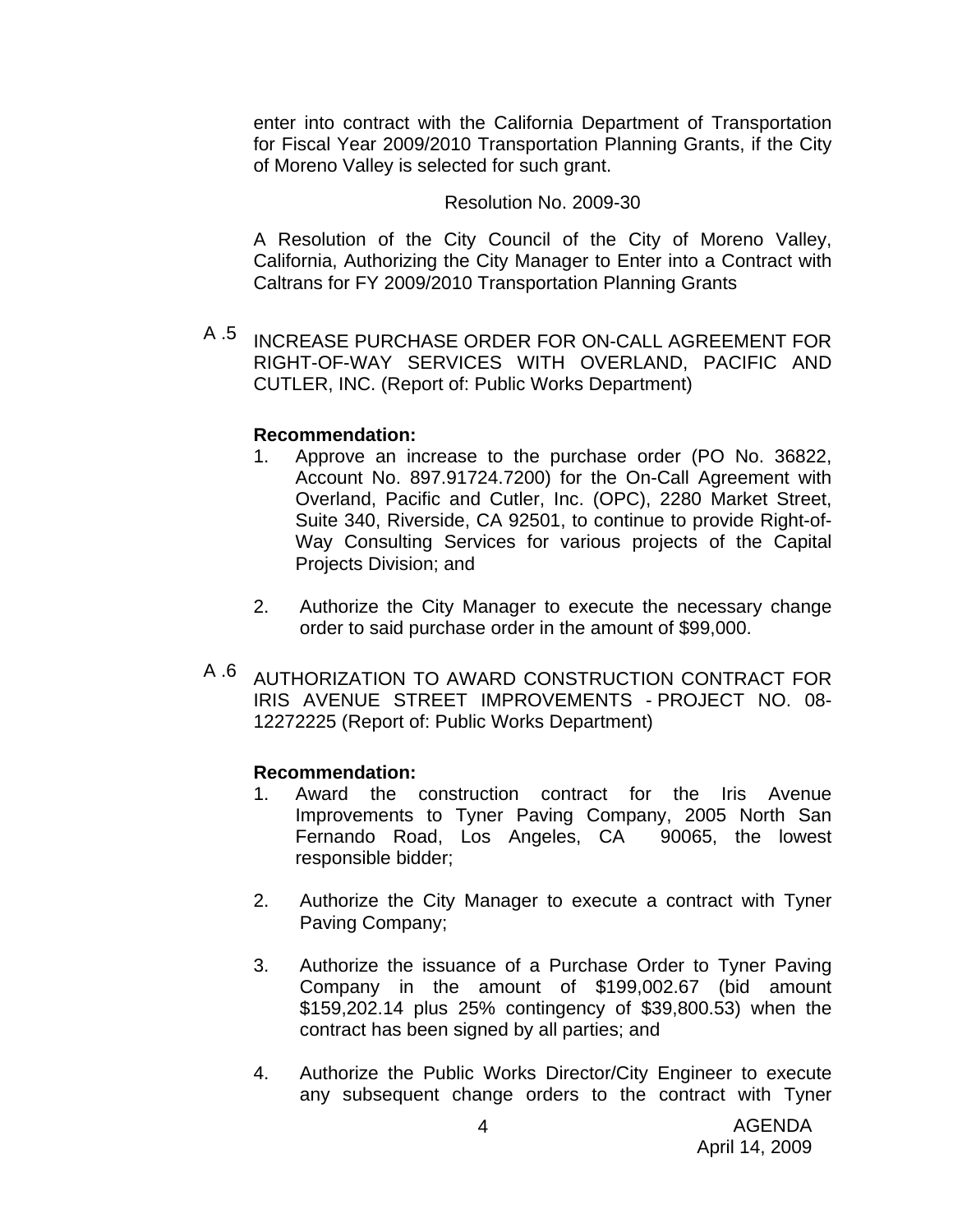enter into contract with the California Department of Transportation for Fiscal Year 2009/2010 Transportation Planning Grants, if the City of Moreno Valley is selected for such grant.

#### Resolution No. 2009-30

A Resolution of the City Council of the City of Moreno Valley, California, Authorizing the City Manager to Enter into a Contract with Caltrans for FY 2009/2010 Transportation Planning Grants

A .5 INCREASE PURCHASE ORDER FOR ON-CALL AGREEMENT FOR RIGHT-OF-WAY SERVICES WITH OVERLAND, PACIFIC AND CUTLER, INC. (Report of: Public Works Department)

### **Recommendation:**

- 1. Approve an increase to the purchase order (PO No. 36822, Account No. 897.91724.7200) for the On-Call Agreement with Overland, Pacific and Cutler, Inc. (OPC), 2280 Market Street, Suite 340, Riverside, CA 92501, to continue to provide Right-of-Way Consulting Services for various projects of the Capital Projects Division; and
- 2. Authorize the City Manager to execute the necessary change order to said purchase order in the amount of \$99,000.
- A .6 AUTHORIZATION TO AWARD CONSTRUCTION CONTRACT FOR IRIS AVENUE STREET IMPROVEMENTS - PROJECT NO. 08- 12272225 (Report of: Public Works Department)

- 1. Award the construction contract for the Iris Avenue Improvements to Tyner Paving Company, 2005 North San Fernando Road, Los Angeles, CA 90065, the lowest responsible bidder;
- 2. Authorize the City Manager to execute a contract with Tyner Paving Company;
- 3. Authorize the issuance of a Purchase Order to Tyner Paving Company in the amount of \$199,002.67 (bid amount \$159,202.14 plus 25% contingency of \$39,800.53) when the contract has been signed by all parties; and
- 4. Authorize the Public Works Director/City Engineer to execute any subsequent change orders to the contract with Tyner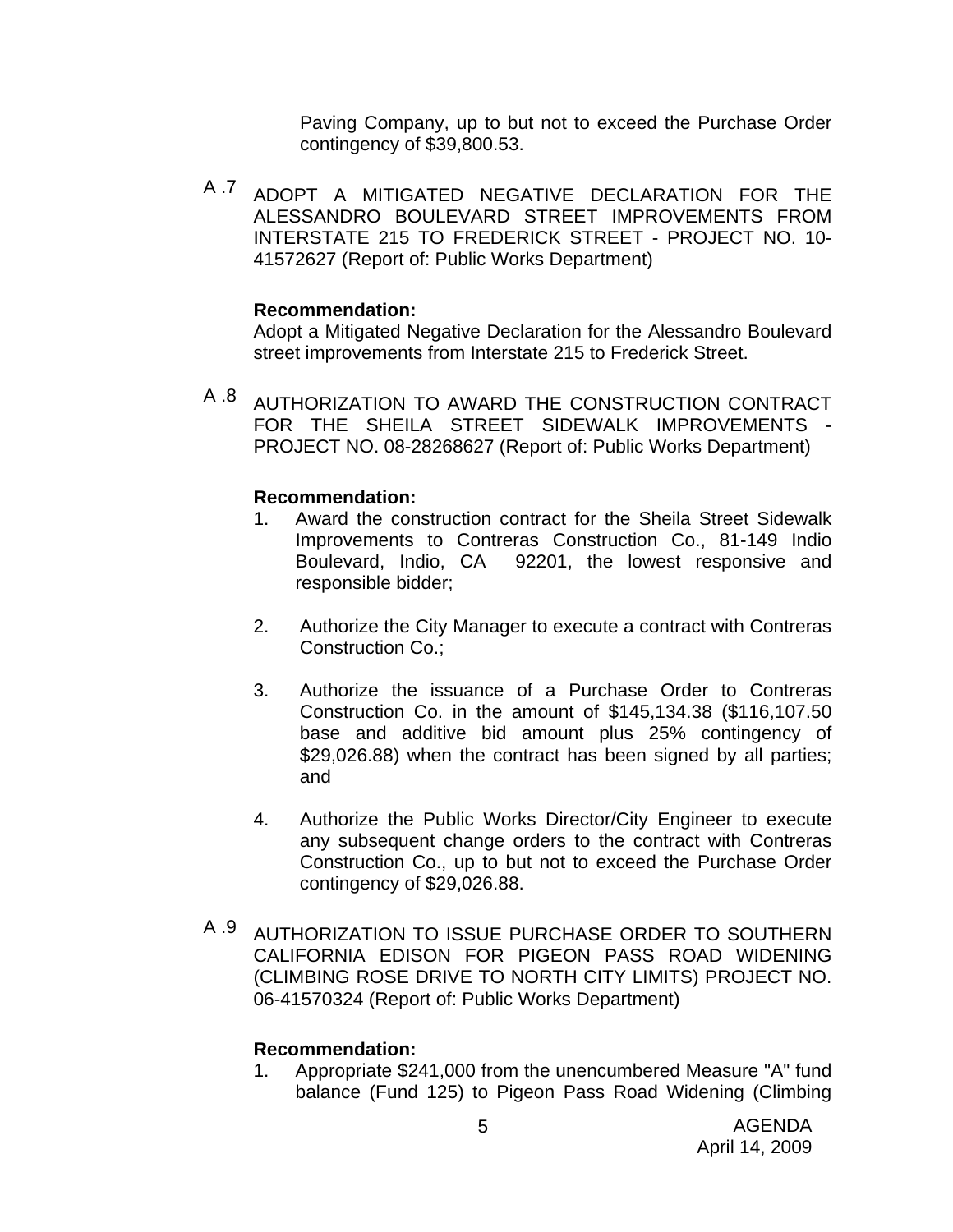Paving Company, up to but not to exceed the Purchase Order contingency of \$39,800.53.

A .7 ADOPT A MITIGATED NEGATIVE DECLARATION FOR THE ALESSANDRO BOULEVARD STREET IMPROVEMENTS FROM INTERSTATE 215 TO FREDERICK STREET - PROJECT NO. 10- 41572627 (Report of: Public Works Department)

### **Recommendation:**

Adopt a Mitigated Negative Declaration for the Alessandro Boulevard street improvements from Interstate 215 to Frederick Street.

A .8 AUTHORIZATION TO AWARD THE CONSTRUCTION CONTRACT FOR THE SHEILA STREET SIDEWALK IMPROVEMENTS PROJECT NO. 08-28268627 (Report of: Public Works Department)

## **Recommendation:**

- 1. Award the construction contract for the Sheila Street Sidewalk Improvements to Contreras Construction Co., 81-149 Indio Boulevard, Indio, CA 92201, the lowest responsive and responsible bidder;
- 2. Authorize the City Manager to execute a contract with Contreras Construction Co.;
- 3. Authorize the issuance of a Purchase Order to Contreras Construction Co. in the amount of \$145,134.38 (\$116,107.50 base and additive bid amount plus 25% contingency of \$29,026.88) when the contract has been signed by all parties; and
- 4. Authorize the Public Works Director/City Engineer to execute any subsequent change orders to the contract with Contreras Construction Co., up to but not to exceed the Purchase Order contingency of \$29,026.88.
- A .9 AUTHORIZATION TO ISSUE PURCHASE ORDER TO SOUTHERN CALIFORNIA EDISON FOR PIGEON PASS ROAD WIDENING (CLIMBING ROSE DRIVE TO NORTH CITY LIMITS) PROJECT NO. 06-41570324 (Report of: Public Works Department)

## **Recommendation:**

1. Appropriate \$241,000 from the unencumbered Measure "A" fund balance (Fund 125) to Pigeon Pass Road Widening (Climbing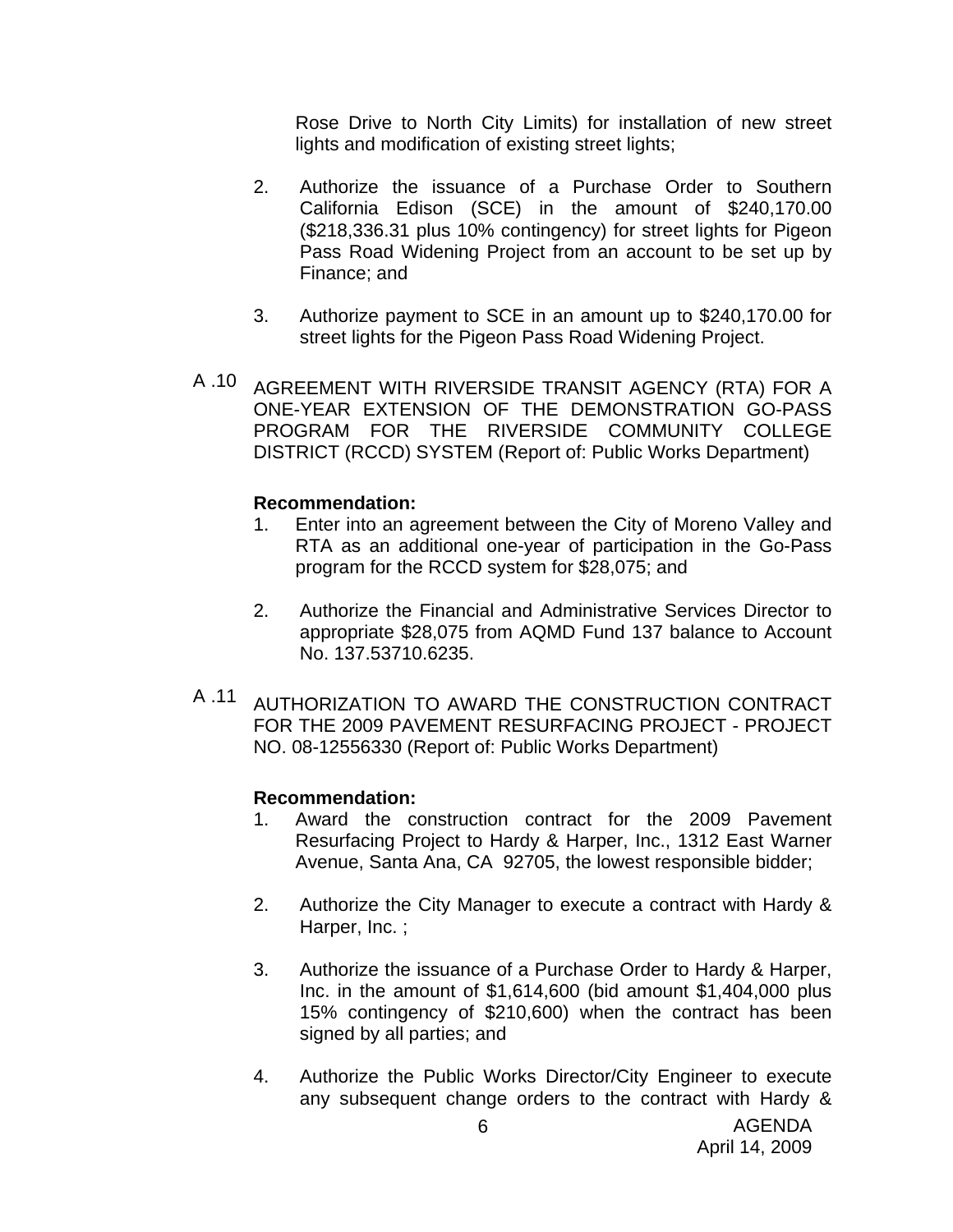Rose Drive to North City Limits) for installation of new street lights and modification of existing street lights;

- 2. Authorize the issuance of a Purchase Order to Southern California Edison (SCE) in the amount of \$240,170.00 (\$218,336.31 plus 10% contingency) for street lights for Pigeon Pass Road Widening Project from an account to be set up by Finance; and
- 3. Authorize payment to SCE in an amount up to \$240,170.00 for street lights for the Pigeon Pass Road Widening Project.
- A .10 AGREEMENT WITH RIVERSIDE TRANSIT AGENCY (RTA) FOR A ONE-YEAR EXTENSION OF THE DEMONSTRATION GO-PASS PROGRAM FOR THE RIVERSIDE COMMUNITY COLLEGE DISTRICT (RCCD) SYSTEM (Report of: Public Works Department)

#### **Recommendation:**

- 1. Enter into an agreement between the City of Moreno Valley and RTA as an additional one-year of participation in the Go-Pass program for the RCCD system for \$28,075; and
- 2. Authorize the Financial and Administrative Services Director to appropriate \$28,075 from AQMD Fund 137 balance to Account No. 137.53710.6235.
- A .11 AUTHORIZATION TO AWARD THE CONSTRUCTION CONTRACT FOR THE 2009 PAVEMENT RESURFACING PROJECT - PROJECT NO. 08-12556330 (Report of: Public Works Department)

- 1. Award the construction contract for the 2009 Pavement Resurfacing Project to Hardy & Harper, Inc., 1312 East Warner Avenue, Santa Ana, CA 92705, the lowest responsible bidder;
- 2. Authorize the City Manager to execute a contract with Hardy & Harper, Inc. ;
- 3. Authorize the issuance of a Purchase Order to Hardy & Harper, Inc. in the amount of \$1,614,600 (bid amount \$1,404,000 plus 15% contingency of \$210,600) when the contract has been signed by all parties; and
- 4. Authorize the Public Works Director/City Engineer to execute any subsequent change orders to the contract with Hardy &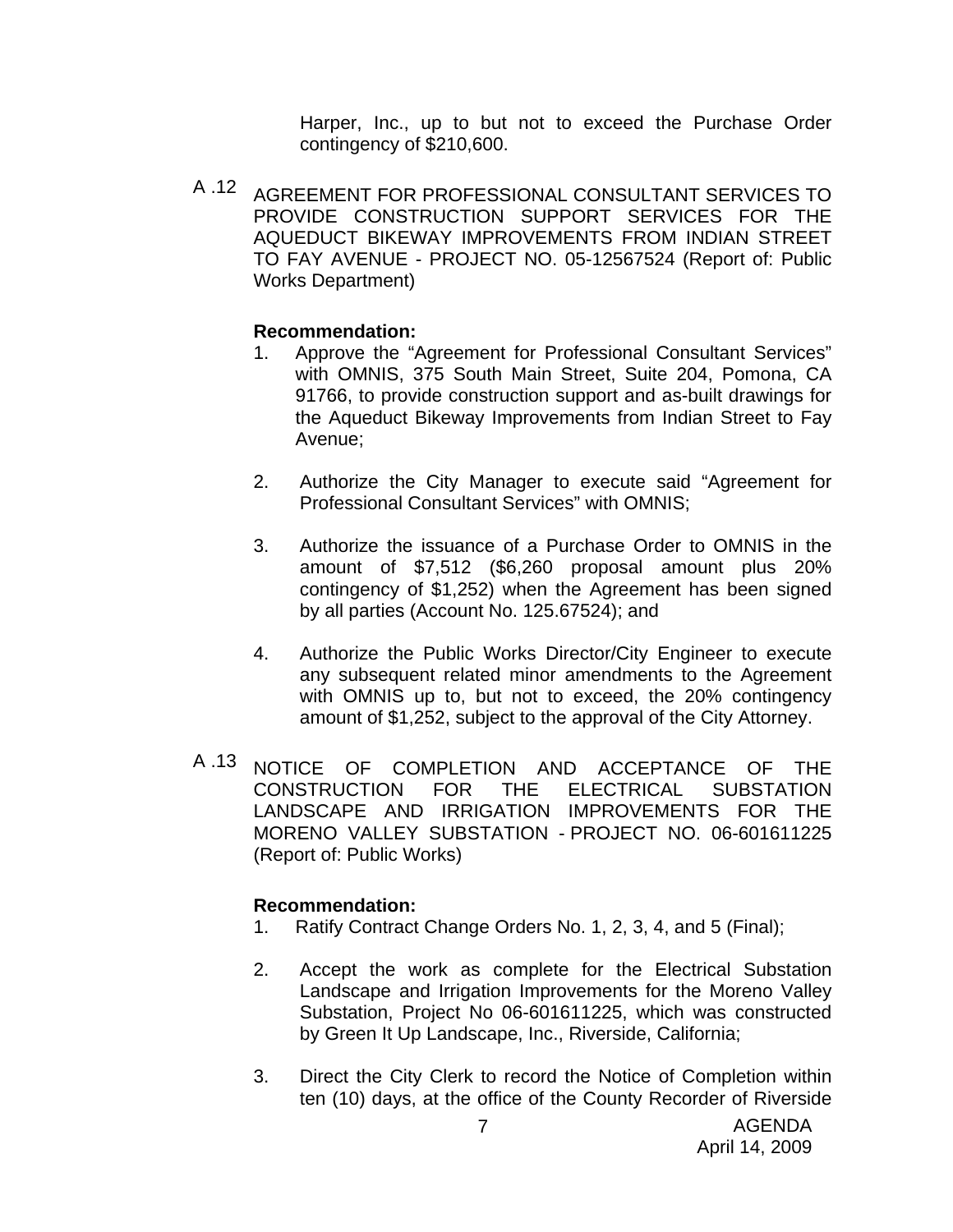Harper, Inc., up to but not to exceed the Purchase Order contingency of \$210,600.

A .12 AGREEMENT FOR PROFESSIONAL CONSULTANT SERVICES TO PROVIDE CONSTRUCTION SUPPORT SERVICES FOR THE AQUEDUCT BIKEWAY IMPROVEMENTS FROM INDIAN STREET TO FAY AVENUE - PROJECT NO. 05-12567524 (Report of: Public Works Department)

## **Recommendation:**

- 1. Approve the "Agreement for Professional Consultant Services" with OMNIS, 375 South Main Street, Suite 204, Pomona, CA 91766, to provide construction support and as-built drawings for the Aqueduct Bikeway Improvements from Indian Street to Fay Avenue;
- 2. Authorize the City Manager to execute said "Agreement for Professional Consultant Services" with OMNIS;
- 3. Authorize the issuance of a Purchase Order to OMNIS in the amount of \$7,512 (\$6,260 proposal amount plus 20% contingency of \$1,252) when the Agreement has been signed by all parties (Account No. 125.67524); and
- 4. Authorize the Public Works Director/City Engineer to execute any subsequent related minor amendments to the Agreement with OMNIS up to, but not to exceed, the 20% contingency amount of \$1,252, subject to the approval of the City Attorney.
- A .13 NOTICE OF COMPLETION AND ACCEPTANCE OF THE CONSTRUCTION FOR THE ELECTRICAL SUBSTATION LANDSCAPE AND IRRIGATION IMPROVEMENTS FOR THE MORENO VALLEY SUBSTATION - PROJECT NO. 06-601611225 (Report of: Public Works)

- 1. Ratify Contract Change Orders No. 1, 2, 3, 4, and 5 (Final);
- 2. Accept the work as complete for the Electrical Substation Landscape and Irrigation Improvements for the Moreno Valley Substation, Project No 06-601611225, which was constructed by Green It Up Landscape, Inc., Riverside, California;
- 3. Direct the City Clerk to record the Notice of Completion within ten (10) days, at the office of the County Recorder of Riverside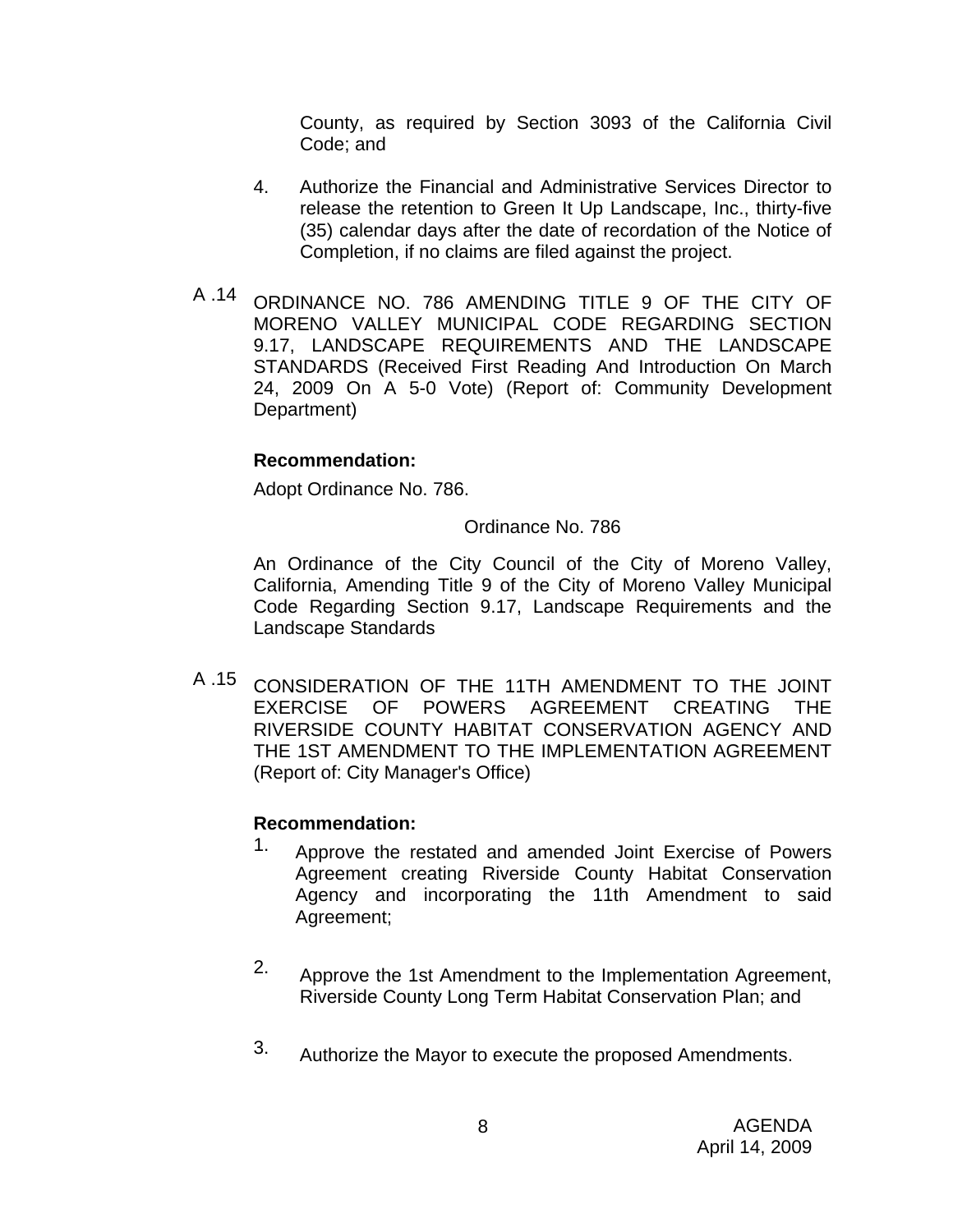County, as required by Section 3093 of the California Civil Code; and

- 4. Authorize the Financial and Administrative Services Director to release the retention to Green It Up Landscape, Inc., thirty-five (35) calendar days after the date of recordation of the Notice of Completion, if no claims are filed against the project.
- A .14 ORDINANCE NO. 786 AMENDING TITLE 9 OF THE CITY OF MORENO VALLEY MUNICIPAL CODE REGARDING SECTION 9.17, LANDSCAPE REQUIREMENTS AND THE LANDSCAPE STANDARDS (Received First Reading And Introduction On March 24, 2009 On A 5-0 Vote) (Report of: Community Development Department)

## **Recommendation:**

Adopt Ordinance No. 786.

### Ordinance No. 786

An Ordinance of the City Council of the City of Moreno Valley, California, Amending Title 9 of the City of Moreno Valley Municipal Code Regarding Section 9.17, Landscape Requirements and the Landscape Standards

A .15 CONSIDERATION OF THE 11TH AMENDMENT TO THE JOINT EXERCISE OF POWERS AGREEMENT CREATING THE RIVERSIDE COUNTY HABITAT CONSERVATION AGENCY AND THE 1ST AMENDMENT TO THE IMPLEMENTATION AGREEMENT (Report of: City Manager's Office)

- 1. Approve the restated and amended Joint Exercise of Powers Agreement creating Riverside County Habitat Conservation Agency and incorporating the 11th Amendment to said Agreement;
- 2. Approve the 1st Amendment to the Implementation Agreement, Riverside County Long Term Habitat Conservation Plan; and
- 3. Authorize the Mayor to execute the proposed Amendments.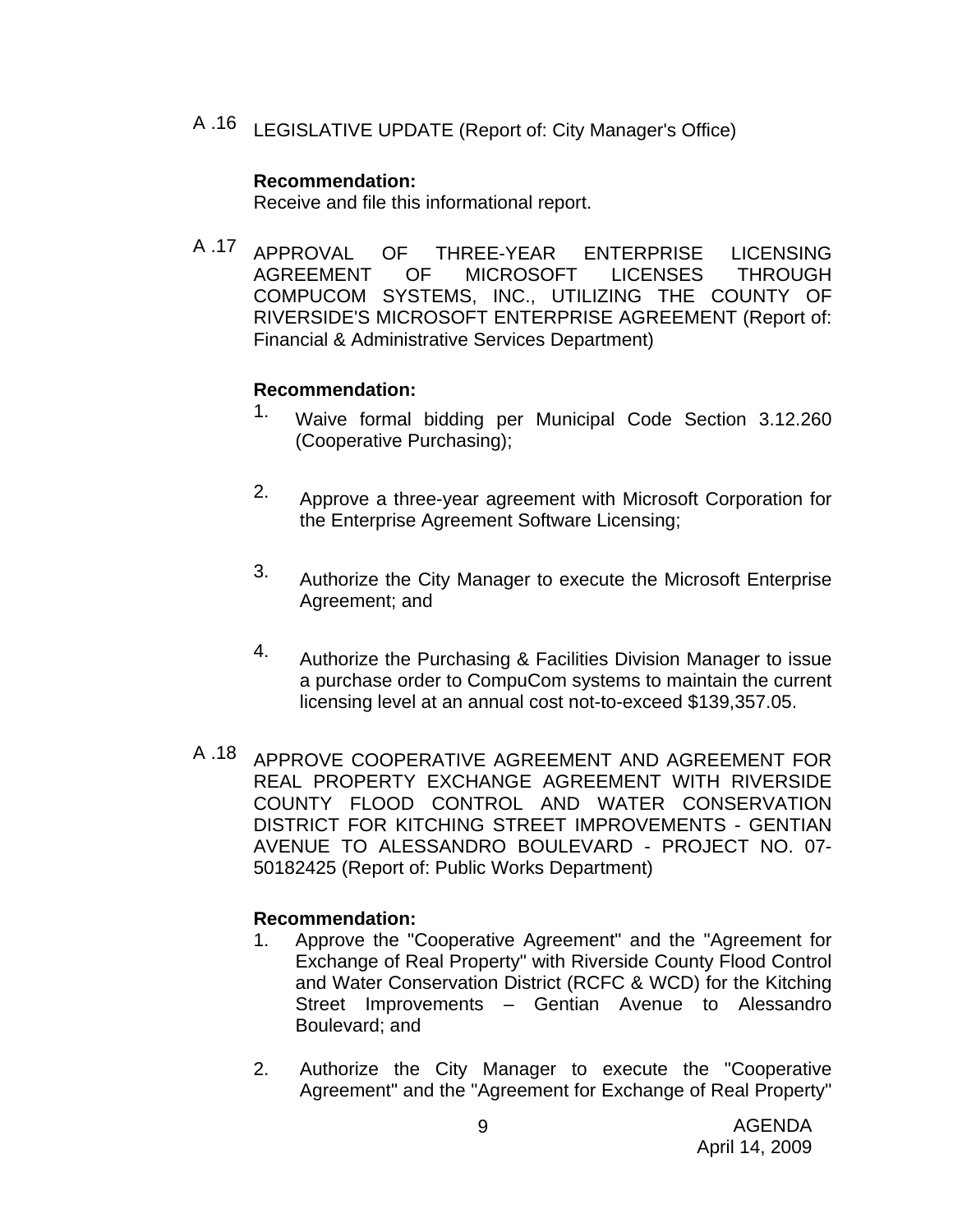A .16 LEGISLATIVE UPDATE (Report of: City Manager's Office)

#### **Recommendation:**

Receive and file this informational report.

A .17 APPROVAL OF THREE-YEAR ENTERPRISE LICENSING AGREEMENT OF MICROSOFT LICENSES THROUGH COMPUCOM SYSTEMS, INC., UTILIZING THE COUNTY OF RIVERSIDE'S MICROSOFT ENTERPRISE AGREEMENT (Report of: Financial & Administrative Services Department)

### **Recommendation:**

- 1. Waive formal bidding per Municipal Code Section 3.12.260 (Cooperative Purchasing);
- 2. Approve a three-year agreement with Microsoft Corporation for the Enterprise Agreement Software Licensing;
- 3. Authorize the City Manager to execute the Microsoft Enterprise Agreement; and
- 4. Authorize the Purchasing & Facilities Division Manager to issue a purchase order to CompuCom systems to maintain the current licensing level at an annual cost not-to-exceed \$139,357.05.
- A .18 APPROVE COOPERATIVE AGREEMENT AND AGREEMENT FOR REAL PROPERTY EXCHANGE AGREEMENT WITH RIVERSIDE COUNTY FLOOD CONTROL AND WATER CONSERVATION DISTRICT FOR KITCHING STREET IMPROVEMENTS - GENTIAN AVENUE TO ALESSANDRO BOULEVARD - PROJECT NO. 07- 50182425 (Report of: Public Works Department)

- 1. Approve the "Cooperative Agreement" and the "Agreement for Exchange of Real Property" with Riverside County Flood Control and Water Conservation District (RCFC & WCD) for the Kitching Street Improvements – Gentian Avenue to Alessandro Boulevard; and
- 2. Authorize the City Manager to execute the "Cooperative Agreement" and the "Agreement for Exchange of Real Property"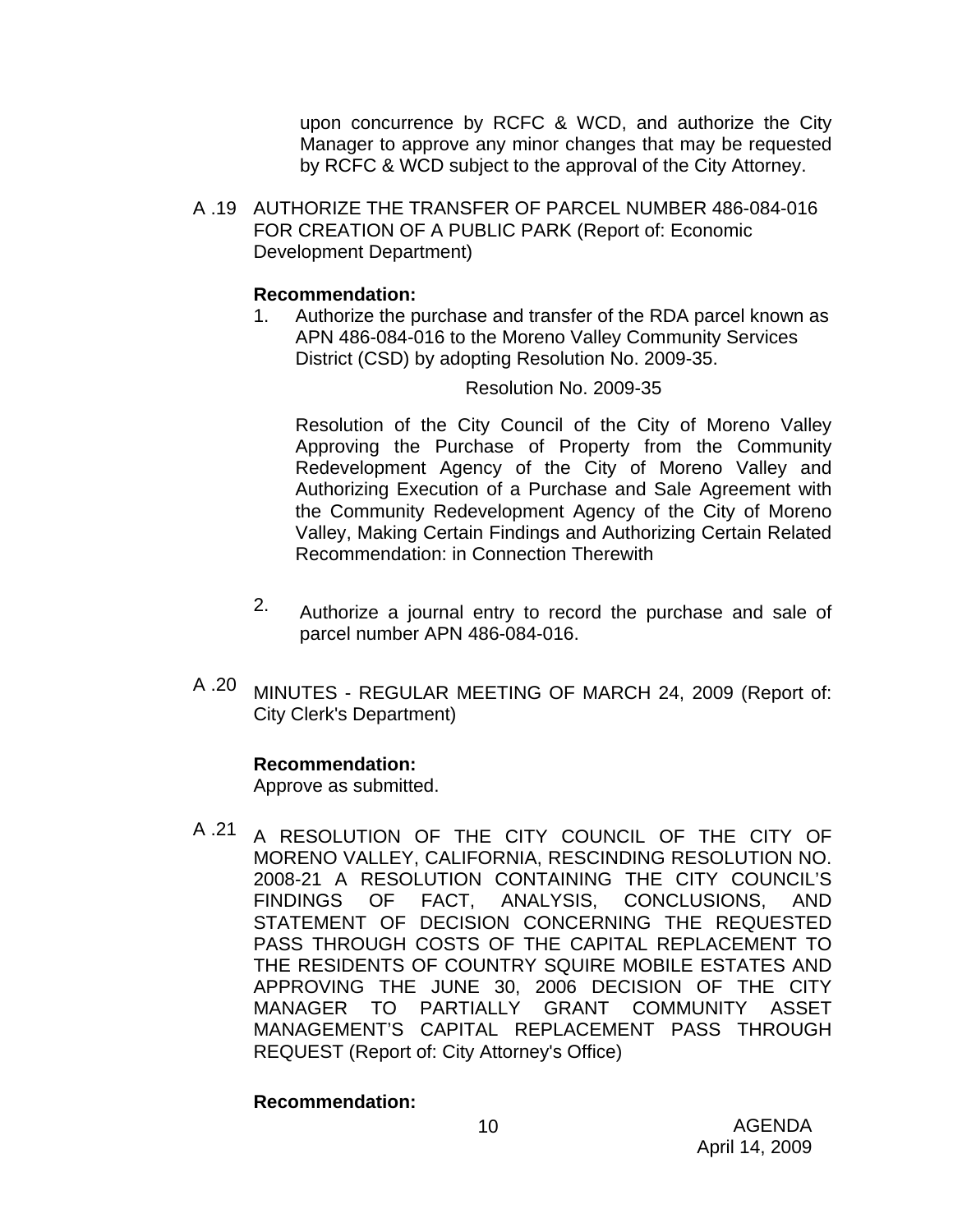upon concurrence by RCFC & WCD, and authorize the City Manager to approve any minor changes that may be requested by RCFC & WCD subject to the approval of the City Attorney.

A .19 AUTHORIZE THE TRANSFER OF PARCEL NUMBER 486-084-016 FOR CREATION OF A PUBLIC PARK (Report of: Economic Development Department)

### **Recommendation:**

1. Authorize the purchase and transfer of the RDA parcel known as APN 486-084-016 to the Moreno Valley Community Services District (CSD) by adopting Resolution No. 2009-35.

### Resolution No. 2009-35

Resolution of the City Council of the City of Moreno Valley Approving the Purchase of Property from the Community Redevelopment Agency of the City of Moreno Valley and Authorizing Execution of a Purchase and Sale Agreement with the Community Redevelopment Agency of the City of Moreno Valley, Making Certain Findings and Authorizing Certain Related Recommendation: in Connection Therewith

- 2. Authorize a journal entry to record the purchase and sale of parcel number APN 486-084-016.
- A .20 MINUTES REGULAR MEETING OF MARCH 24, 2009 (Report of: City Clerk's Department)

## **Recommendation:**

Approve as submitted.

A .21 A RESOLUTION OF THE CITY COUNCIL OF THE CITY OF MORENO VALLEY, CALIFORNIA, RESCINDING RESOLUTION NO. 2008-21 A RESOLUTION CONTAINING THE CITY COUNCIL'S FINDINGS OF FACT, ANALYSIS, CONCLUSIONS, AND STATEMENT OF DECISION CONCERNING THE REQUESTED PASS THROUGH COSTS OF THE CAPITAL REPLACEMENT TO THE RESIDENTS OF COUNTRY SQUIRE MOBILE ESTATES AND APPROVING THE JUNE 30, 2006 DECISION OF THE CITY MANAGER TO PARTIALLY GRANT COMMUNITY ASSET MANAGEMENT'S CAPITAL REPLACEMENT PASS THROUGH REQUEST (Report of: City Attorney's Office)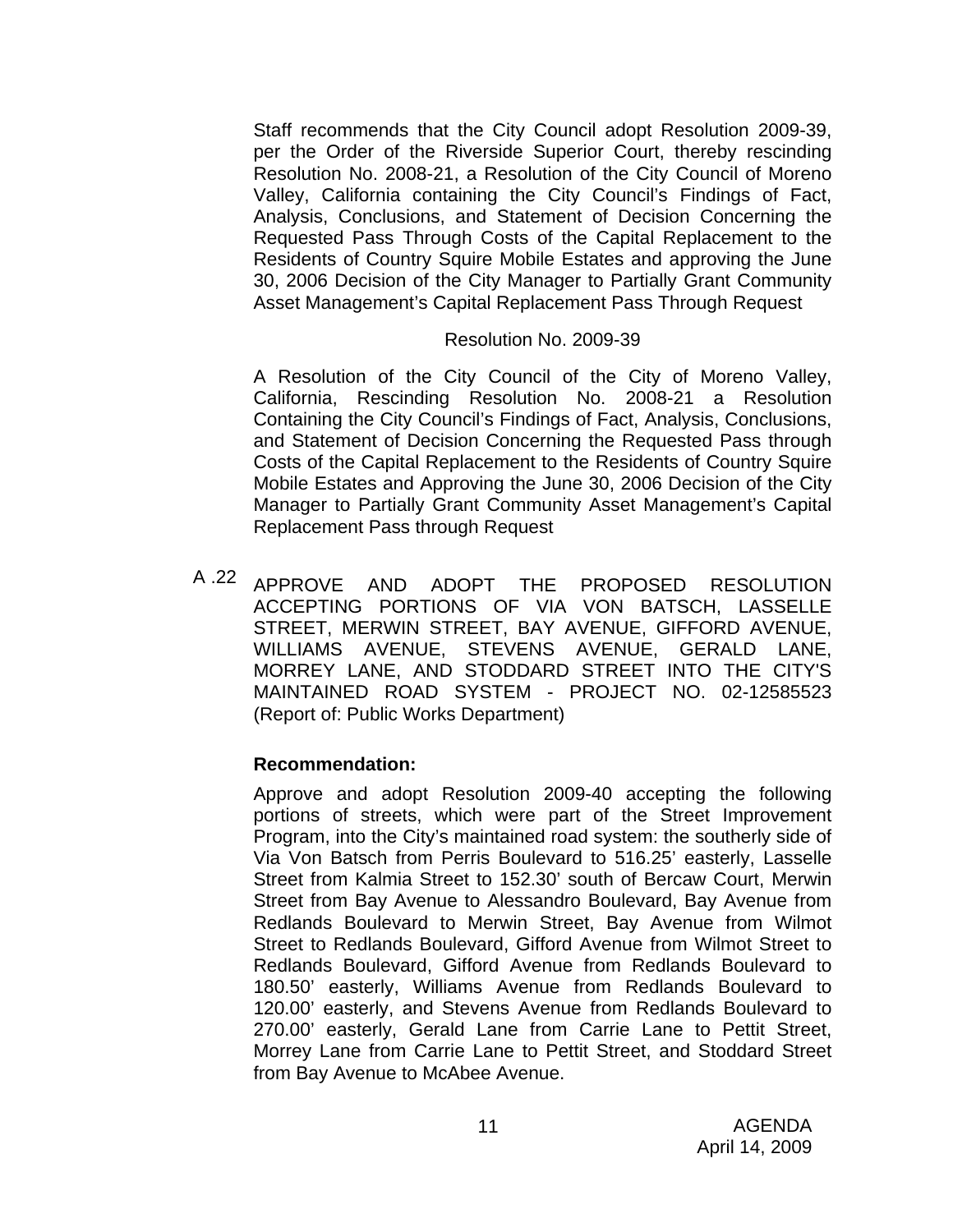Staff recommends that the City Council adopt Resolution 2009-39, per the Order of the Riverside Superior Court, thereby rescinding Resolution No. 2008-21, a Resolution of the City Council of Moreno Valley, California containing the City Council's Findings of Fact, Analysis, Conclusions, and Statement of Decision Concerning the Requested Pass Through Costs of the Capital Replacement to the Residents of Country Squire Mobile Estates and approving the June 30, 2006 Decision of the City Manager to Partially Grant Community Asset Management's Capital Replacement Pass Through Request

#### Resolution No. 2009-39

A Resolution of the City Council of the City of Moreno Valley, California, Rescinding Resolution No. 2008-21 a Resolution Containing the City Council's Findings of Fact, Analysis, Conclusions, and Statement of Decision Concerning the Requested Pass through Costs of the Capital Replacement to the Residents of Country Squire Mobile Estates and Approving the June 30, 2006 Decision of the City Manager to Partially Grant Community Asset Management's Capital Replacement Pass through Request

A .22 APPROVE AND ADOPT THE PROPOSED RESOLUTION ACCEPTING PORTIONS OF VIA VON BATSCH, LASSELLE STREET, MERWIN STREET, BAY AVENUE, GIFFORD AVENUE, WILLIAMS AVENUE, STEVENS AVENUE, GERALD LANE, MORREY LANE, AND STODDARD STREET INTO THE CITY'S MAINTAINED ROAD SYSTEM - PROJECT NO. 02-12585523 (Report of: Public Works Department)

#### **Recommendation:**

Approve and adopt Resolution 2009-40 accepting the following portions of streets, which were part of the Street Improvement Program, into the City's maintained road system: the southerly side of Via Von Batsch from Perris Boulevard to 516.25' easterly, Lasselle Street from Kalmia Street to 152.30' south of Bercaw Court, Merwin Street from Bay Avenue to Alessandro Boulevard, Bay Avenue from Redlands Boulevard to Merwin Street, Bay Avenue from Wilmot Street to Redlands Boulevard, Gifford Avenue from Wilmot Street to Redlands Boulevard, Gifford Avenue from Redlands Boulevard to 180.50' easterly, Williams Avenue from Redlands Boulevard to 120.00' easterly, and Stevens Avenue from Redlands Boulevard to 270.00' easterly, Gerald Lane from Carrie Lane to Pettit Street, Morrey Lane from Carrie Lane to Pettit Street, and Stoddard Street from Bay Avenue to McAbee Avenue.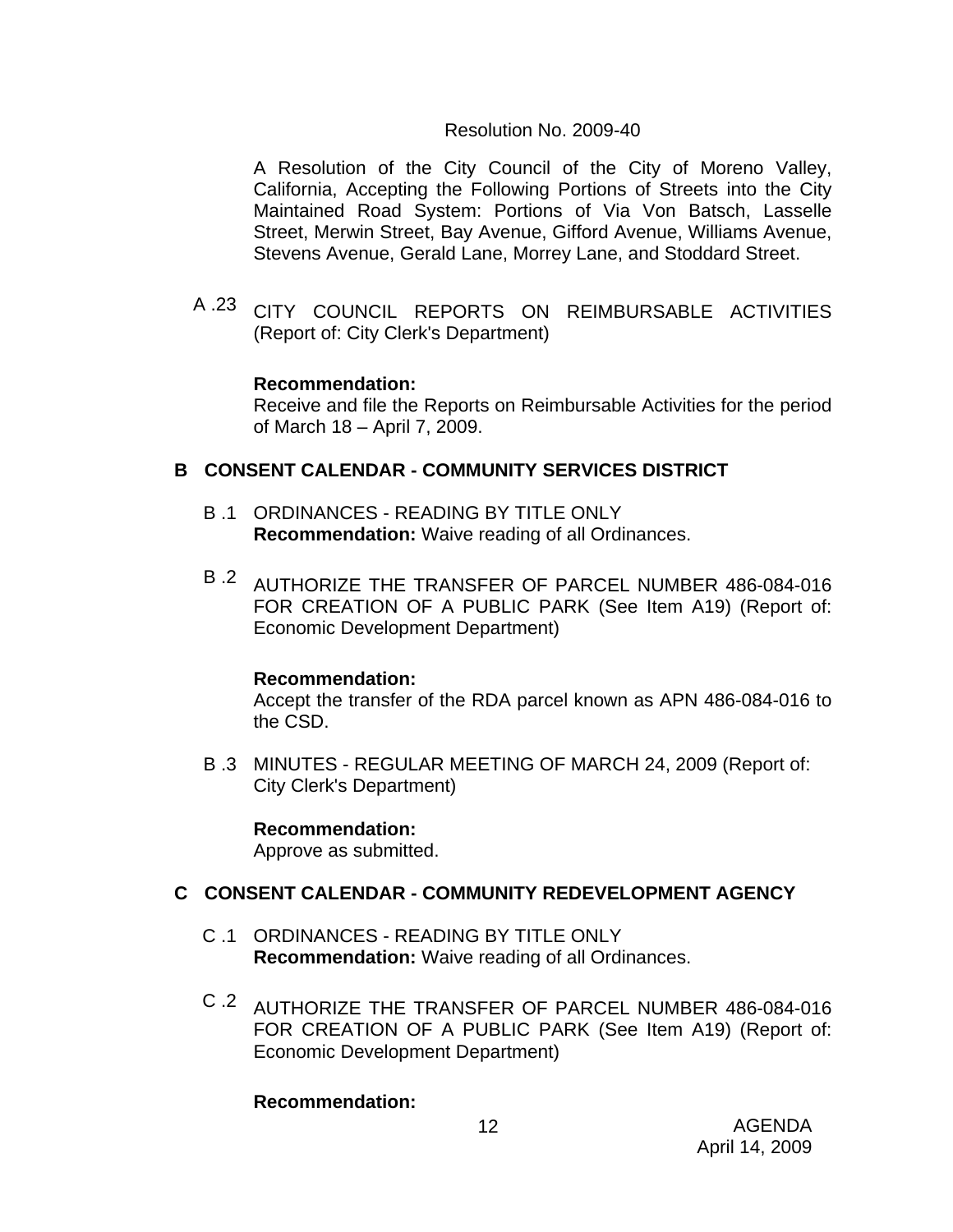### Resolution No. 2009-40

A Resolution of the City Council of the City of Moreno Valley, California, Accepting the Following Portions of Streets into the City Maintained Road System: Portions of Via Von Batsch, Lasselle Street, Merwin Street, Bay Avenue, Gifford Avenue, Williams Avenue, Stevens Avenue, Gerald Lane, Morrey Lane, and Stoddard Street.

A .23 CITY COUNCIL REPORTS ON REIMBURSABLE ACTIVITIES (Report of: City Clerk's Department)

### **Recommendation:**

Receive and file the Reports on Reimbursable Activities for the period of March 18 – April 7, 2009.

## **B CONSENT CALENDAR - COMMUNITY SERVICES DISTRICT**

- B .1 ORDINANCES READING BY TITLE ONLY **Recommendation:** Waive reading of all Ordinances.
- B .2 AUTHORIZE THE TRANSFER OF PARCEL NUMBER 486-084-016 FOR CREATION OF A PUBLIC PARK (See Item A19) (Report of: Economic Development Department)

### **Recommendation:**

Accept the transfer of the RDA parcel known as APN 486-084-016 to the CSD.

B .3 MINUTES - REGULAR MEETING OF MARCH 24, 2009 (Report of: City Clerk's Department)

### **Recommendation:**

Approve as submitted.

## **C CONSENT CALENDAR - COMMUNITY REDEVELOPMENT AGENCY**

- C .1 ORDINANCES READING BY TITLE ONLY **Recommendation:** Waive reading of all Ordinances.
- C .2 AUTHORIZE THE TRANSFER OF PARCEL NUMBER 486-084-016 FOR CREATION OF A PUBLIC PARK (See Item A19) (Report of: Economic Development Department)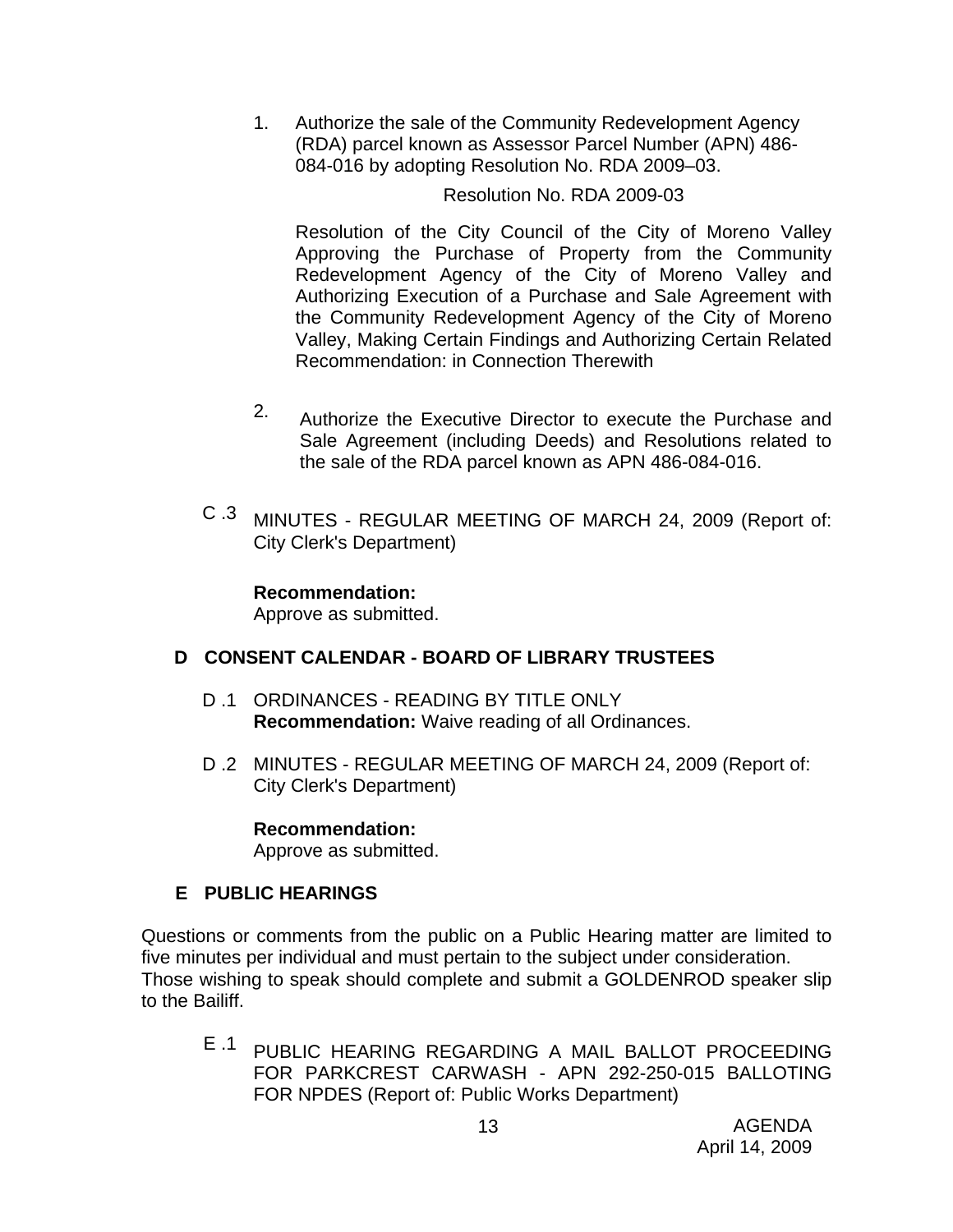1. Authorize the sale of the Community Redevelopment Agency (RDA) parcel known as Assessor Parcel Number (APN) 486- 084-016 by adopting Resolution No. RDA 2009–03.

Resolution No. RDA 2009-03

Resolution of the City Council of the City of Moreno Valley Approving the Purchase of Property from the Community Redevelopment Agency of the City of Moreno Valley and Authorizing Execution of a Purchase and Sale Agreement with the Community Redevelopment Agency of the City of Moreno Valley, Making Certain Findings and Authorizing Certain Related Recommendation: in Connection Therewith

- 2. Authorize the Executive Director to execute the Purchase and Sale Agreement (including Deeds) and Resolutions related to the sale of the RDA parcel known as APN 486-084-016.
- C .3 MINUTES REGULAR MEETING OF MARCH 24, 2009 (Report of: City Clerk's Department)

**Recommendation:** 

Approve as submitted.

## **D CONSENT CALENDAR - BOARD OF LIBRARY TRUSTEES**

- D .1 ORDINANCES READING BY TITLE ONLY **Recommendation:** Waive reading of all Ordinances.
- D .2 MINUTES REGULAR MEETING OF MARCH 24, 2009 (Report of: City Clerk's Department)

### **Recommendation:**

Approve as submitted.

## **E PUBLIC HEARINGS**

Questions or comments from the public on a Public Hearing matter are limited to five minutes per individual and must pertain to the subject under consideration. Those wishing to speak should complete and submit a GOLDENROD speaker slip to the Bailiff.

E .1 PUBLIC HEARING REGARDING A MAIL BALLOT PROCEEDING FOR PARKCREST CARWASH - APN 292-250-015 BALLOTING FOR NPDES (Report of: Public Works Department)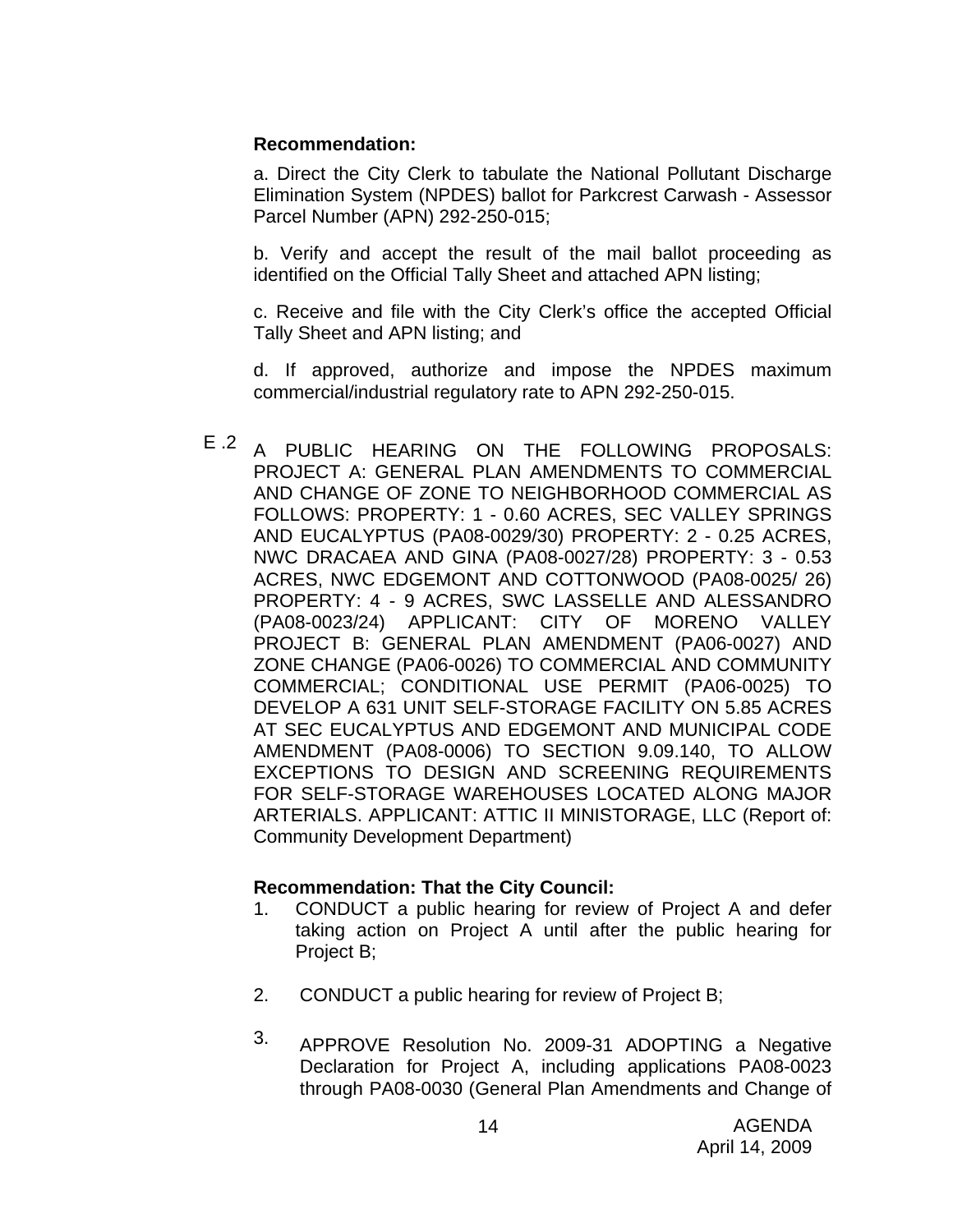#### **Recommendation:**

a. Direct the City Clerk to tabulate the National Pollutant Discharge Elimination System (NPDES) ballot for Parkcrest Carwash - Assessor Parcel Number (APN) 292-250-015;

b. Verify and accept the result of the mail ballot proceeding as identified on the Official Tally Sheet and attached APN listing;

c. Receive and file with the City Clerk's office the accepted Official Tally Sheet and APN listing; and

d. If approved, authorize and impose the NPDES maximum commercial/industrial regulatory rate to APN 292-250-015.

E .2 A PUBLIC HEARING ON THE FOLLOWING PROPOSALS: PROJECT A: GENERAL PLAN AMENDMENTS TO COMMERCIAL AND CHANGE OF ZONE TO NEIGHBORHOOD COMMERCIAL AS FOLLOWS: PROPERTY: 1 - 0.60 ACRES, SEC VALLEY SPRINGS AND EUCALYPTUS (PA08-0029/30) PROPERTY: 2 - 0.25 ACRES, NWC DRACAEA AND GINA (PA08-0027/28) PROPERTY: 3 - 0.53 ACRES, NWC EDGEMONT AND COTTONWOOD (PA08-0025/ 26) PROPERTY: 4 - 9 ACRES, SWC LASSELLE AND ALESSANDRO (PA08-0023/24) APPLICANT: CITY OF MORENO VALLEY PROJECT B: GENERAL PLAN AMENDMENT (PA06-0027) AND ZONE CHANGE (PA06-0026) TO COMMERCIAL AND COMMUNITY COMMERCIAL; CONDITIONAL USE PERMIT (PA06-0025) TO DEVELOP A 631 UNIT SELF-STORAGE FACILITY ON 5.85 ACRES AT SEC EUCALYPTUS AND EDGEMONT AND MUNICIPAL CODE AMENDMENT (PA08-0006) TO SECTION 9.09.140, TO ALLOW EXCEPTIONS TO DESIGN AND SCREENING REQUIREMENTS FOR SELF-STORAGE WAREHOUSES LOCATED ALONG MAJOR ARTERIALS. APPLICANT: ATTIC II MINISTORAGE, LLC (Report of: Community Development Department)

### **Recommendation: That the City Council:**

- 1. CONDUCT a public hearing for review of Project A and defer taking action on Project A until after the public hearing for Project B;
- 2. CONDUCT a public hearing for review of Project B;
- 3. APPROVE Resolution No. 2009-31 ADOPTING a Negative Declaration for Project A, including applications PA08-0023 through PA08-0030 (General Plan Amendments and Change of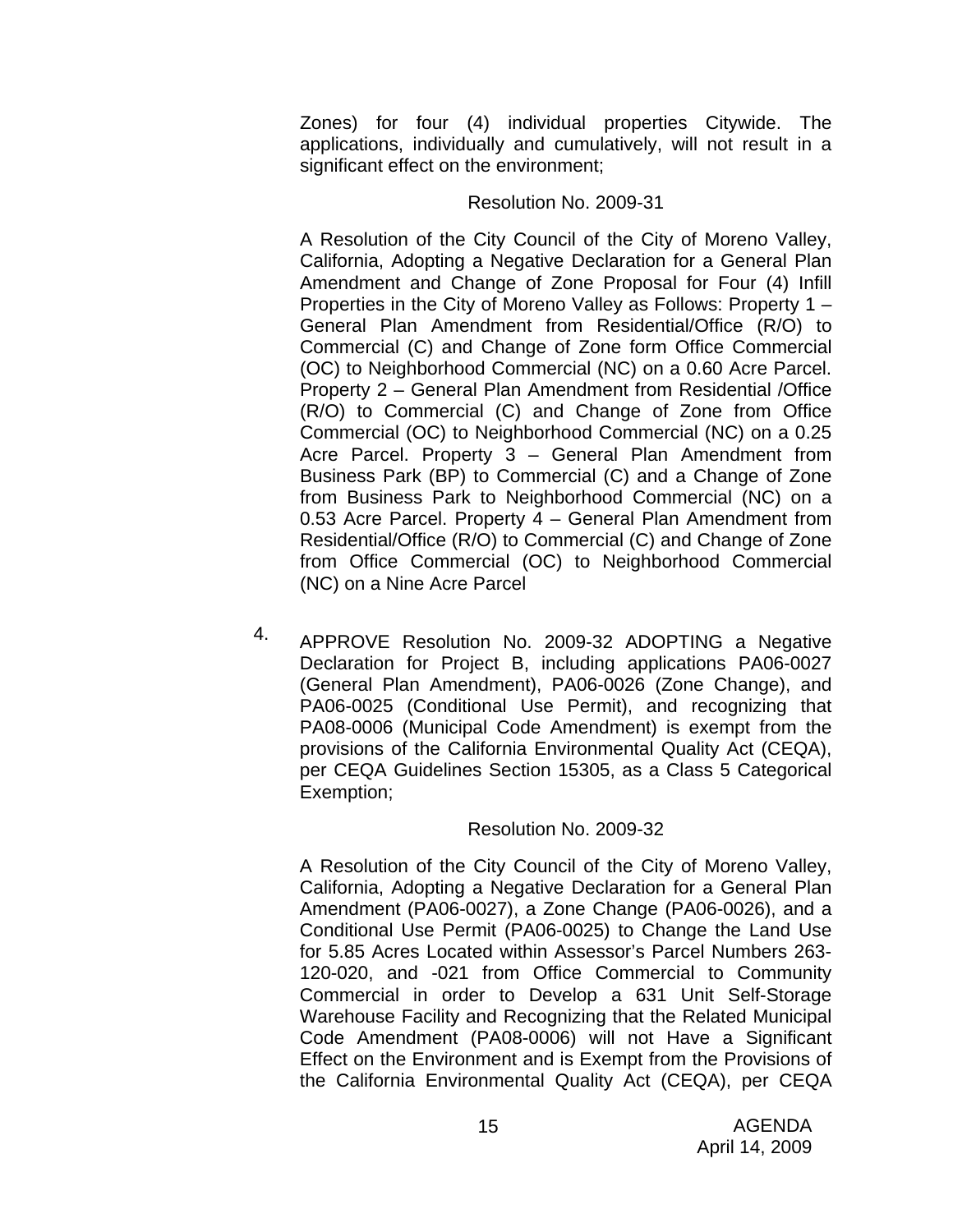Zones) for four (4) individual properties Citywide. The applications, individually and cumulatively, will not result in a significant effect on the environment;

#### Resolution No. 2009-31

A Resolution of the City Council of the City of Moreno Valley, California, Adopting a Negative Declaration for a General Plan Amendment and Change of Zone Proposal for Four (4) Infill Properties in the City of Moreno Valley as Follows: Property 1 – General Plan Amendment from Residential/Office (R/O) to Commercial (C) and Change of Zone form Office Commercial (OC) to Neighborhood Commercial (NC) on a 0.60 Acre Parcel. Property 2 – General Plan Amendment from Residential /Office (R/O) to Commercial (C) and Change of Zone from Office Commercial (OC) to Neighborhood Commercial (NC) on a 0.25 Acre Parcel. Property 3 – General Plan Amendment from Business Park (BP) to Commercial (C) and a Change of Zone from Business Park to Neighborhood Commercial (NC) on a 0.53 Acre Parcel. Property 4 – General Plan Amendment from Residential/Office (R/O) to Commercial (C) and Change of Zone from Office Commercial (OC) to Neighborhood Commercial (NC) on a Nine Acre Parcel

4. APPROVE Resolution No. 2009-32 ADOPTING a Negative Declaration for Project B, including applications PA06-0027 (General Plan Amendment), PA06-0026 (Zone Change), and PA06-0025 (Conditional Use Permit), and recognizing that PA08-0006 (Municipal Code Amendment) is exempt from the provisions of the California Environmental Quality Act (CEQA), per CEQA Guidelines Section 15305, as a Class 5 Categorical Exemption;

### Resolution No. 2009-32

A Resolution of the City Council of the City of Moreno Valley, California, Adopting a Negative Declaration for a General Plan Amendment (PA06-0027), a Zone Change (PA06-0026), and a Conditional Use Permit (PA06-0025) to Change the Land Use for 5.85 Acres Located within Assessor's Parcel Numbers 263- 120-020, and -021 from Office Commercial to Community Commercial in order to Develop a 631 Unit Self-Storage Warehouse Facility and Recognizing that the Related Municipal Code Amendment (PA08-0006) will not Have a Significant Effect on the Environment and is Exempt from the Provisions of the California Environmental Quality Act (CEQA), per CEQA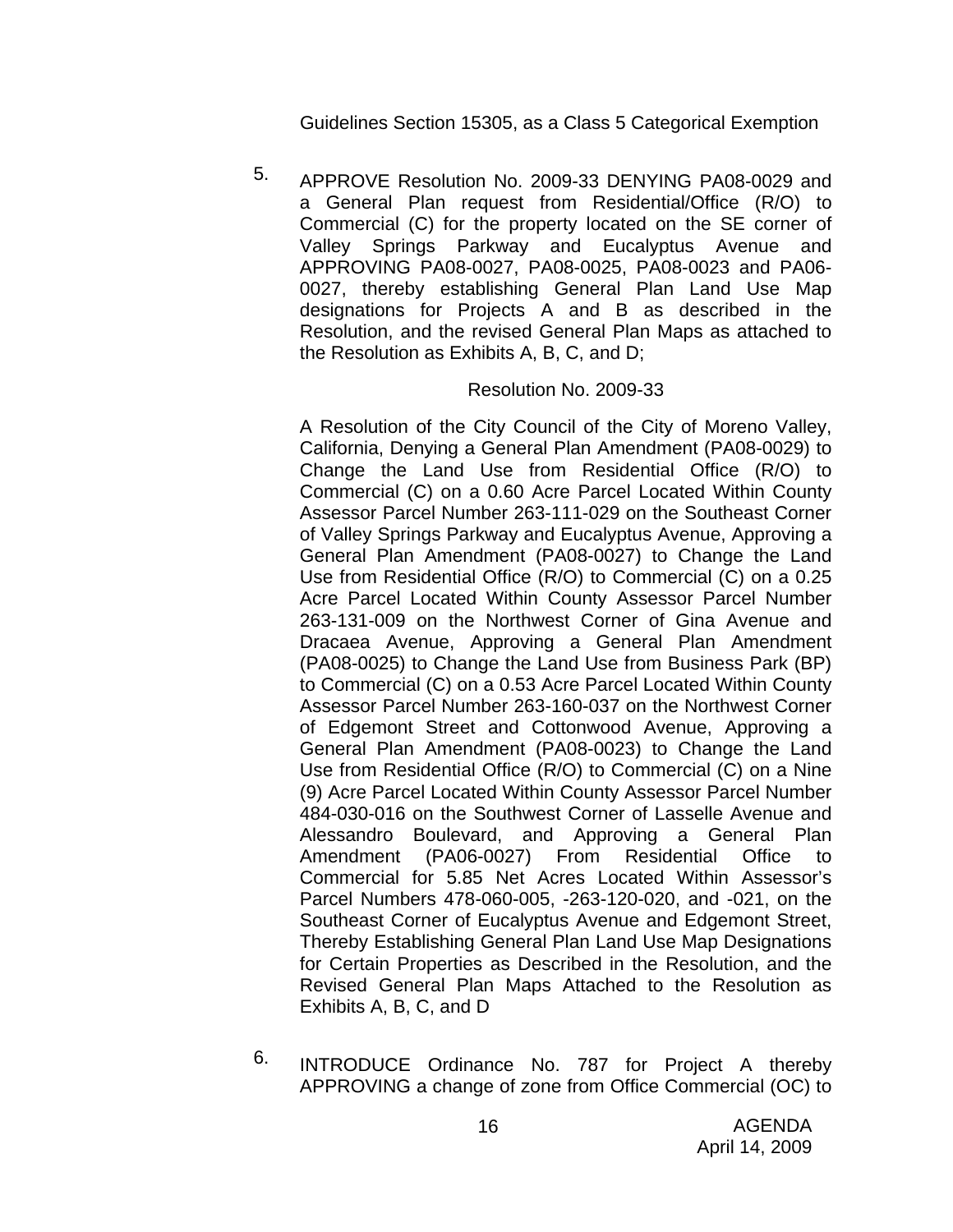Guidelines Section 15305, as a Class 5 Categorical Exemption

5. APPROVE Resolution No. 2009-33 DENYING PA08-0029 and a General Plan request from Residential/Office (R/O) to Commercial (C) for the property located on the SE corner of Valley Springs Parkway and Eucalyptus Avenue and APPROVING PA08-0027, PA08-0025, PA08-0023 and PA06- 0027, thereby establishing General Plan Land Use Map designations for Projects A and B as described in the Resolution, and the revised General Plan Maps as attached to the Resolution as Exhibits A, B, C, and D;

#### Resolution No. 2009-33

A Resolution of the City Council of the City of Moreno Valley, California, Denying a General Plan Amendment (PA08-0029) to Change the Land Use from Residential Office (R/O) to Commercial (C) on a 0.60 Acre Parcel Located Within County Assessor Parcel Number 263-111-029 on the Southeast Corner of Valley Springs Parkway and Eucalyptus Avenue, Approving a General Plan Amendment (PA08-0027) to Change the Land Use from Residential Office (R/O) to Commercial (C) on a 0.25 Acre Parcel Located Within County Assessor Parcel Number 263-131-009 on the Northwest Corner of Gina Avenue and Dracaea Avenue, Approving a General Plan Amendment (PA08-0025) to Change the Land Use from Business Park (BP) to Commercial (C) on a 0.53 Acre Parcel Located Within County Assessor Parcel Number 263-160-037 on the Northwest Corner of Edgemont Street and Cottonwood Avenue, Approving a General Plan Amendment (PA08-0023) to Change the Land Use from Residential Office (R/O) to Commercial (C) on a Nine (9) Acre Parcel Located Within County Assessor Parcel Number 484-030-016 on the Southwest Corner of Lasselle Avenue and Alessandro Boulevard, and Approving a General Plan Amendment (PA06-0027) From Residential Office to Commercial for 5.85 Net Acres Located Within Assessor's Parcel Numbers 478-060-005, -263-120-020, and -021, on the Southeast Corner of Eucalyptus Avenue and Edgemont Street, Thereby Establishing General Plan Land Use Map Designations for Certain Properties as Described in the Resolution, and the Revised General Plan Maps Attached to the Resolution as Exhibits A, B, C, and D

6. INTRODUCE Ordinance No. 787 for Project A thereby APPROVING a change of zone from Office Commercial (OC) to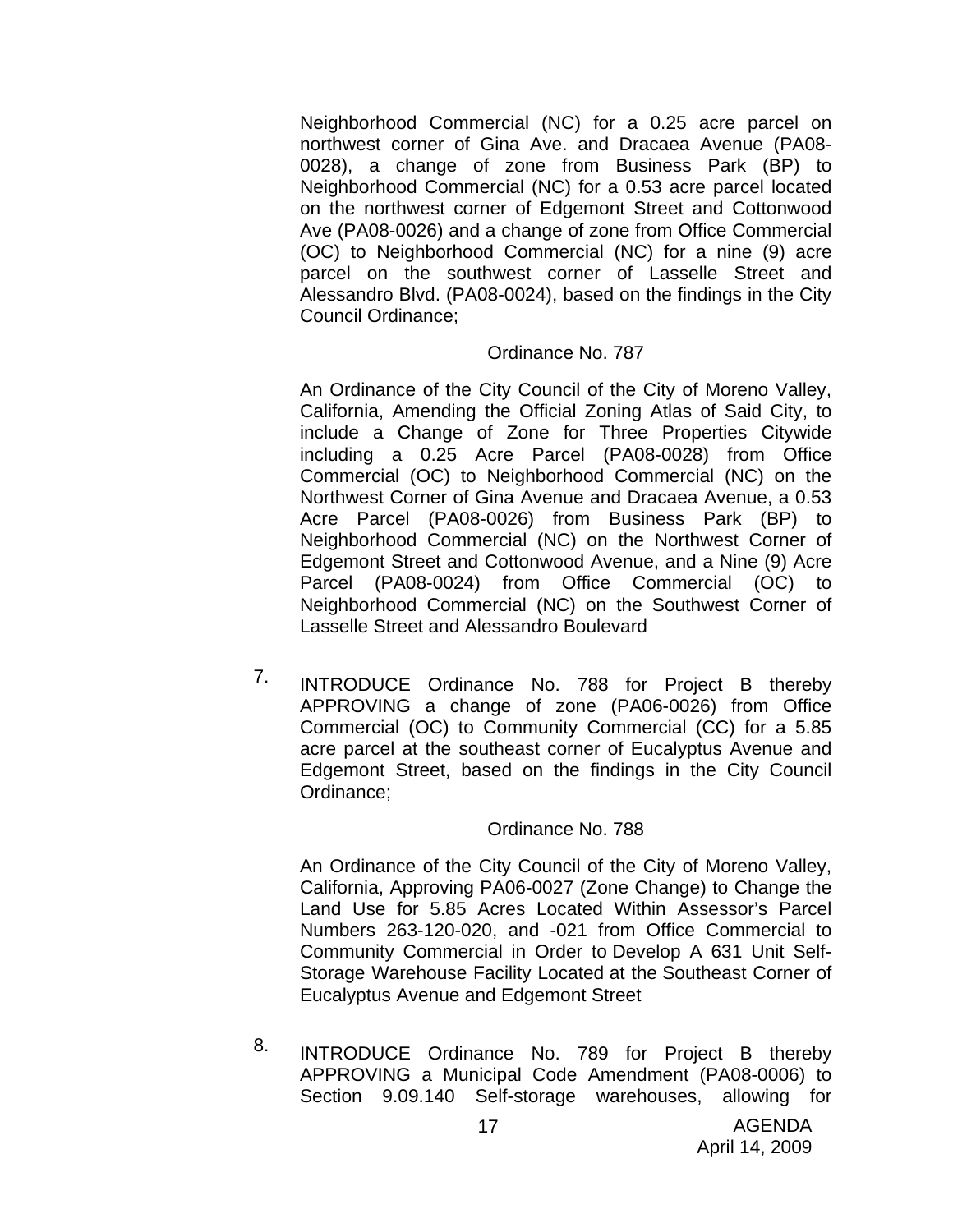Neighborhood Commercial (NC) for a 0.25 acre parcel on northwest corner of Gina Ave. and Dracaea Avenue (PA08- 0028), a change of zone from Business Park (BP) to Neighborhood Commercial (NC) for a 0.53 acre parcel located on the northwest corner of Edgemont Street and Cottonwood Ave (PA08-0026) and a change of zone from Office Commercial (OC) to Neighborhood Commercial (NC) for a nine (9) acre parcel on the southwest corner of Lasselle Street and Alessandro Blvd. (PA08-0024), based on the findings in the City Council Ordinance;

#### Ordinance No. 787

An Ordinance of the City Council of the City of Moreno Valley, California, Amending the Official Zoning Atlas of Said City, to include a Change of Zone for Three Properties Citywide including a 0.25 Acre Parcel (PA08-0028) from Office Commercial (OC) to Neighborhood Commercial (NC) on the Northwest Corner of Gina Avenue and Dracaea Avenue, a 0.53 Acre Parcel (PA08-0026) from Business Park (BP) to Neighborhood Commercial (NC) on the Northwest Corner of Edgemont Street and Cottonwood Avenue, and a Nine (9) Acre Parcel (PA08-0024) from Office Commercial (OC) to Neighborhood Commercial (NC) on the Southwest Corner of Lasselle Street and Alessandro Boulevard

7. INTRODUCE Ordinance No. 788 for Project B thereby APPROVING a change of zone (PA06-0026) from Office Commercial (OC) to Community Commercial (CC) for a 5.85 acre parcel at the southeast corner of Eucalyptus Avenue and Edgemont Street, based on the findings in the City Council Ordinance;

#### Ordinance No. 788

An Ordinance of the City Council of the City of Moreno Valley, California, Approving PA06-0027 (Zone Change) to Change the Land Use for 5.85 Acres Located Within Assessor's Parcel Numbers 263-120-020, and -021 from Office Commercial to Community Commercial in Order to Develop A 631 Unit Self-Storage Warehouse Facility Located at the Southeast Corner of Eucalyptus Avenue and Edgemont Street

8. INTRODUCE Ordinance No. 789 for Project B thereby APPROVING a Municipal Code Amendment (PA08-0006) to Section 9.09.140 Self-storage warehouses, allowing for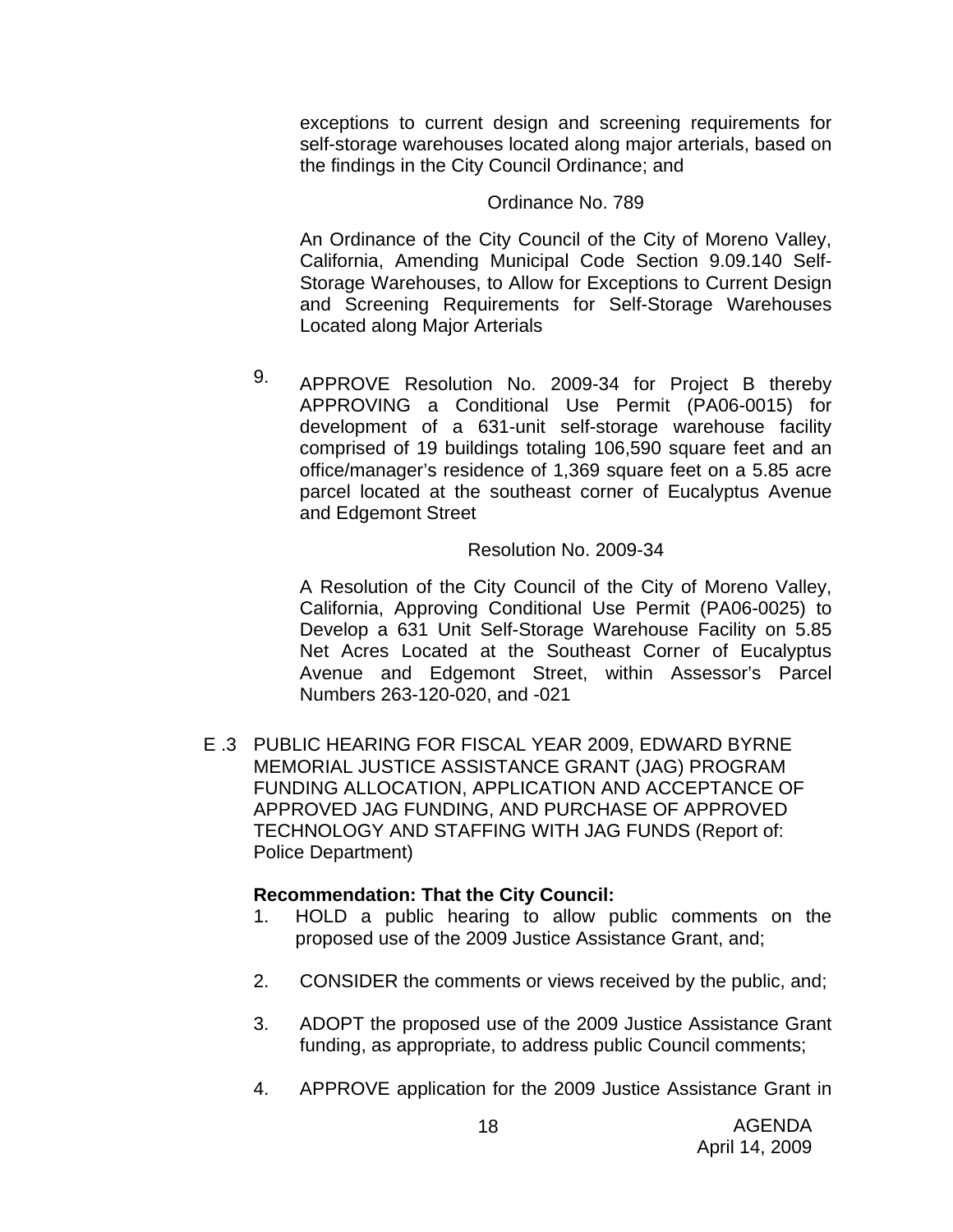exceptions to current design and screening requirements for self-storage warehouses located along major arterials, based on the findings in the City Council Ordinance; and

#### Ordinance No. 789

An Ordinance of the City Council of the City of Moreno Valley, California, Amending Municipal Code Section 9.09.140 Self-Storage Warehouses, to Allow for Exceptions to Current Design and Screening Requirements for Self-Storage Warehouses Located along Major Arterials

9. APPROVE Resolution No. 2009-34 for Project B thereby APPROVING a Conditional Use Permit (PA06-0015) for development of a 631-unit self-storage warehouse facility comprised of 19 buildings totaling 106,590 square feet and an office/manager's residence of 1,369 square feet on a 5.85 acre parcel located at the southeast corner of Eucalyptus Avenue and Edgemont Street

#### Resolution No. 2009-34

A Resolution of the City Council of the City of Moreno Valley, California, Approving Conditional Use Permit (PA06-0025) to Develop a 631 Unit Self-Storage Warehouse Facility on 5.85 Net Acres Located at the Southeast Corner of Eucalyptus Avenue and Edgemont Street, within Assessor's Parcel Numbers 263-120-020, and -021

E .3 PUBLIC HEARING FOR FISCAL YEAR 2009, EDWARD BYRNE MEMORIAL JUSTICE ASSISTANCE GRANT (JAG) PROGRAM FUNDING ALLOCATION, APPLICATION AND ACCEPTANCE OF APPROVED JAG FUNDING, AND PURCHASE OF APPROVED TECHNOLOGY AND STAFFING WITH JAG FUNDS (Report of: Police Department)

### **Recommendation: That the City Council:**

- 1. HOLD a public hearing to allow public comments on the proposed use of the 2009 Justice Assistance Grant, and;
- 2. CONSIDER the comments or views received by the public, and;
- 3. ADOPT the proposed use of the 2009 Justice Assistance Grant funding, as appropriate, to address public Council comments;
- 4. APPROVE application for the 2009 Justice Assistance Grant in

18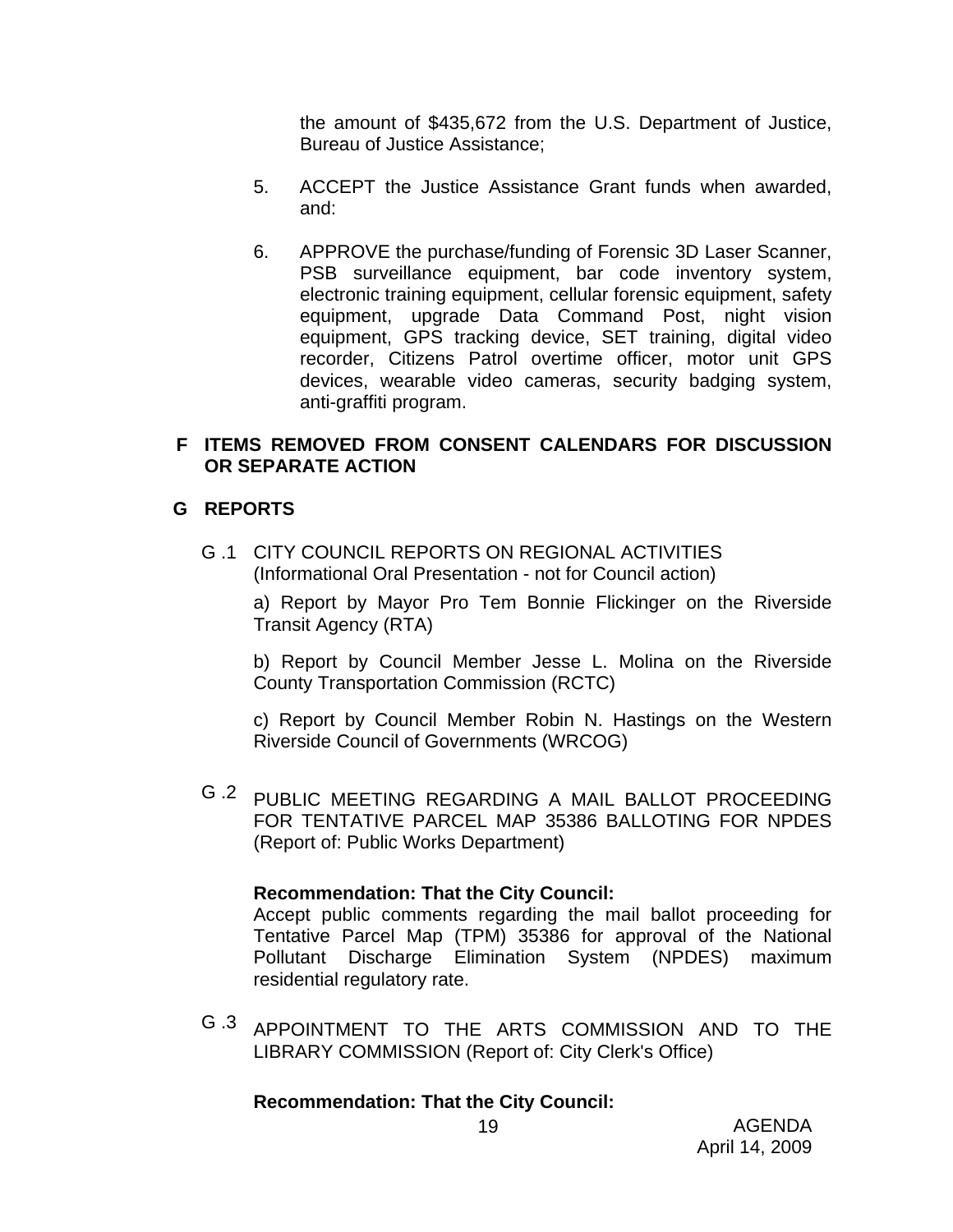the amount of \$435,672 from the U.S. Department of Justice, Bureau of Justice Assistance;

- 5. ACCEPT the Justice Assistance Grant funds when awarded, and:
- 6. APPROVE the purchase/funding of Forensic 3D Laser Scanner, PSB surveillance equipment, bar code inventory system, electronic training equipment, cellular forensic equipment, safety equipment, upgrade Data Command Post, night vision equipment, GPS tracking device, SET training, digital video recorder, Citizens Patrol overtime officer, motor unit GPS devices, wearable video cameras, security badging system, anti-graffiti program.

## **F ITEMS REMOVED FROM CONSENT CALENDARS FOR DISCUSSION OR SEPARATE ACTION**

### **G REPORTS**

G .1 CITY COUNCIL REPORTS ON REGIONAL ACTIVITIES (Informational Oral Presentation - not for Council action)

a) Report by Mayor Pro Tem Bonnie Flickinger on the Riverside Transit Agency (RTA)

b) Report by Council Member Jesse L. Molina on the Riverside County Transportation Commission (RCTC)

c) Report by Council Member Robin N. Hastings on the Western Riverside Council of Governments (WRCOG)

G .2 PUBLIC MEETING REGARDING A MAIL BALLOT PROCEEDING FOR TENTATIVE PARCEL MAP 35386 BALLOTING FOR NPDES (Report of: Public Works Department)

### **Recommendation: That the City Council:**

Accept public comments regarding the mail ballot proceeding for Tentative Parcel Map (TPM) 35386 for approval of the National Pollutant Discharge Elimination System (NPDES) maximum residential regulatory rate.

G .3 APPOINTMENT TO THE ARTS COMMISSION AND TO THE LIBRARY COMMISSION (Report of: City Clerk's Office)

### **Recommendation: That the City Council:**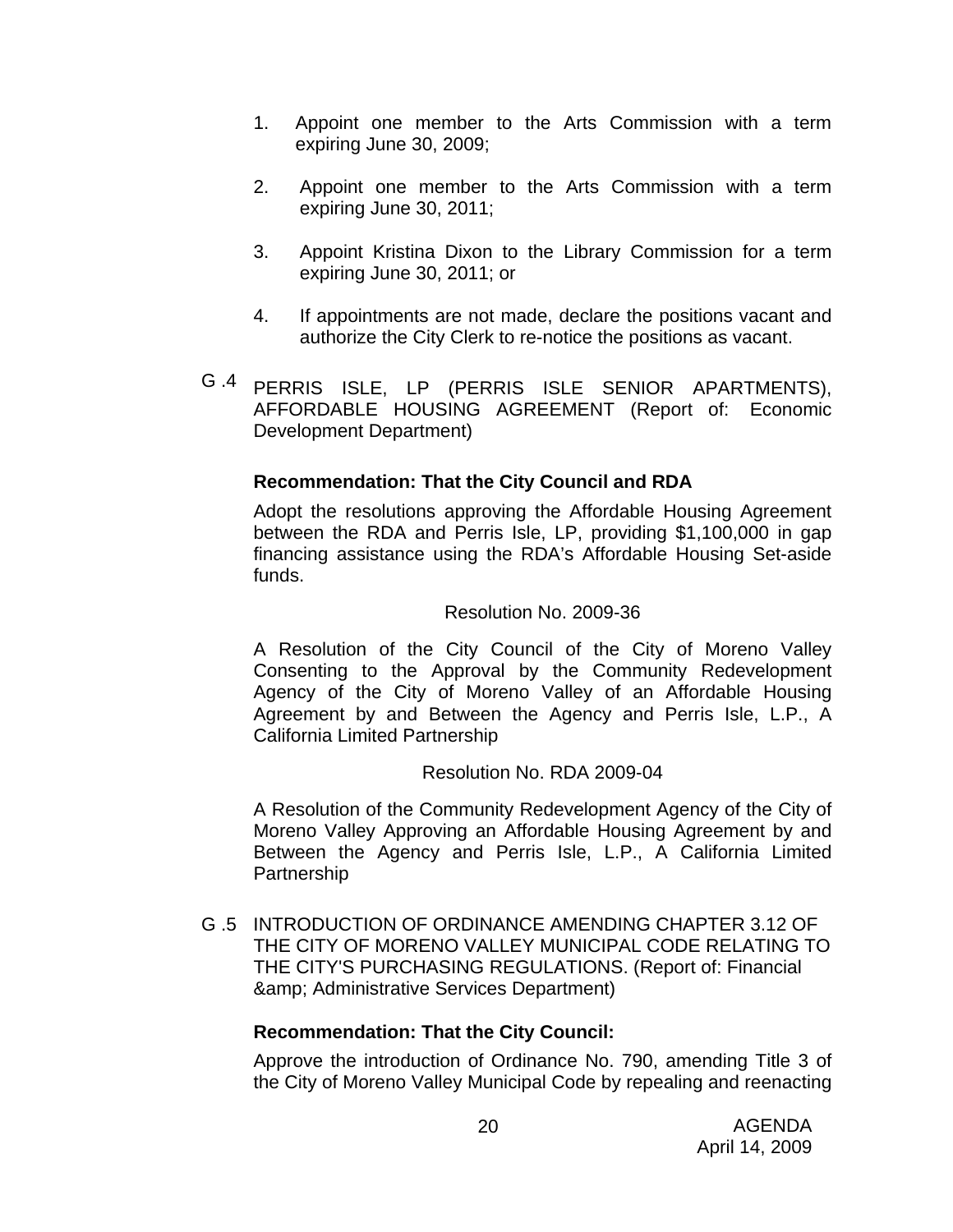- 1. Appoint one member to the Arts Commission with a term expiring June 30, 2009;
- 2. Appoint one member to the Arts Commission with a term expiring June 30, 2011;
- 3. Appoint Kristina Dixon to the Library Commission for a term expiring June 30, 2011; or
- 4. If appointments are not made, declare the positions vacant and authorize the City Clerk to re-notice the positions as vacant.
- G .4 PERRIS ISLE, LP (PERRIS ISLE SENIOR APARTMENTS), AFFORDABLE HOUSING AGREEMENT (Report of: Economic Development Department)

## **Recommendation: That the City Council and RDA**

Adopt the resolutions approving the Affordable Housing Agreement between the RDA and Perris Isle, LP, providing \$1,100,000 in gap financing assistance using the RDA's Affordable Housing Set-aside funds.

#### Resolution No. 2009-36

A Resolution of the City Council of the City of Moreno Valley Consenting to the Approval by the Community Redevelopment Agency of the City of Moreno Valley of an Affordable Housing Agreement by and Between the Agency and Perris Isle, L.P., A California Limited Partnership

### Resolution No. RDA 2009-04

A Resolution of the Community Redevelopment Agency of the City of Moreno Valley Approving an Affordable Housing Agreement by and Between the Agency and Perris Isle, L.P., A California Limited **Partnership** 

G .5 INTRODUCTION OF ORDINANCE AMENDING CHAPTER 3.12 OF THE CITY OF MORENO VALLEY MUNICIPAL CODE RELATING TO THE CITY'S PURCHASING REGULATIONS. (Report of: Financial & Administrative Services Department)

### **Recommendation: That the City Council:**

Approve the introduction of Ordinance No. 790, amending Title 3 of the City of Moreno Valley Municipal Code by repealing and reenacting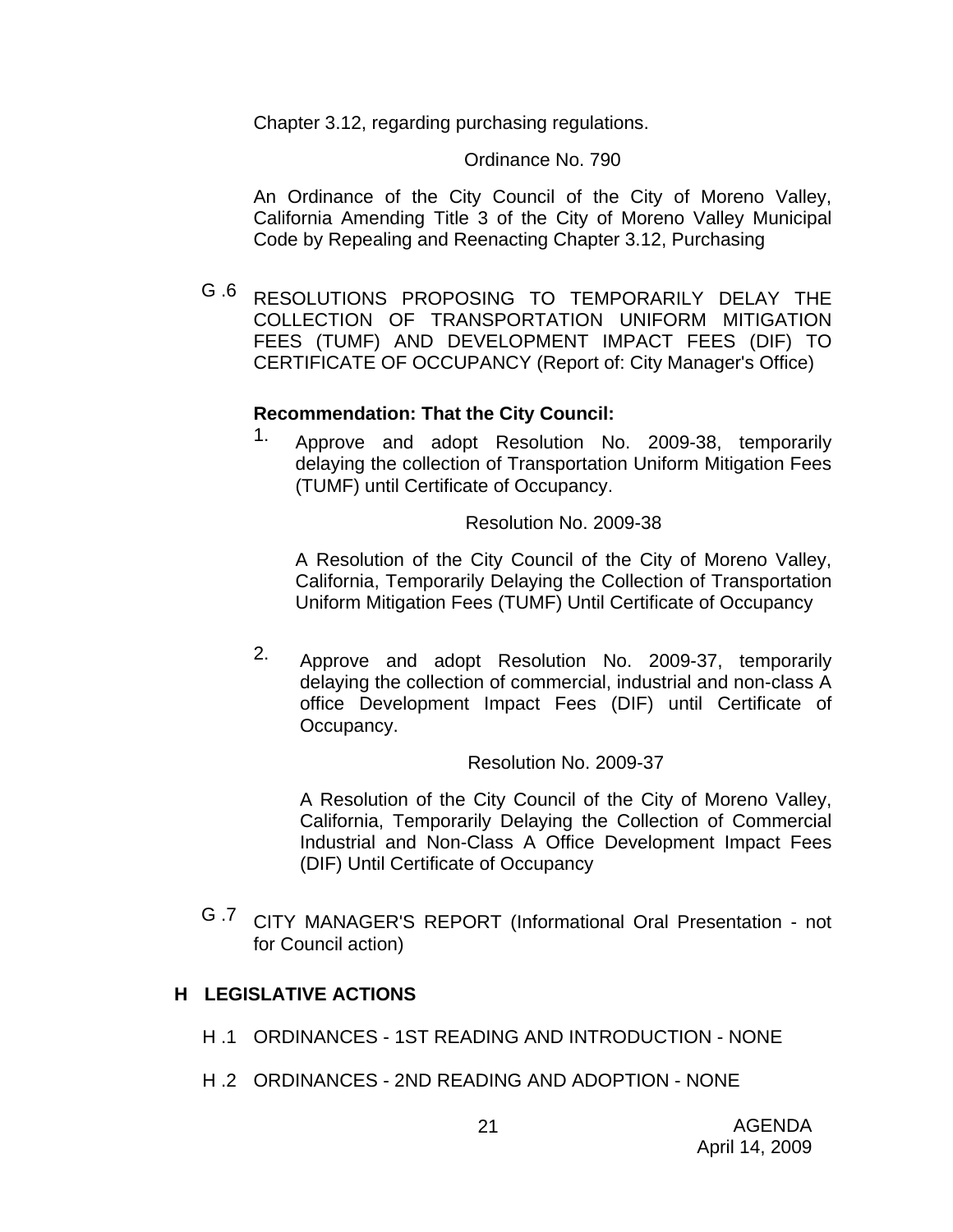Chapter 3.12, regarding purchasing regulations.

#### Ordinance No. 790

An Ordinance of the City Council of the City of Moreno Valley, California Amending Title 3 of the City of Moreno Valley Municipal Code by Repealing and Reenacting Chapter 3.12, Purchasing

G .6 RESOLUTIONS PROPOSING TO TEMPORARILY DELAY THE COLLECTION OF TRANSPORTATION UNIFORM MITIGATION FEES (TUMF) AND DEVELOPMENT IMPACT FEES (DIF) TO CERTIFICATE OF OCCUPANCY (Report of: City Manager's Office)

### **Recommendation: That the City Council:**

1. Approve and adopt Resolution No. 2009-38, temporarily delaying the collection of Transportation Uniform Mitigation Fees (TUMF) until Certificate of Occupancy.

Resolution No. 2009-38

A Resolution of the City Council of the City of Moreno Valley, California, Temporarily Delaying the Collection of Transportation Uniform Mitigation Fees (TUMF) Until Certificate of Occupancy

2. Approve and adopt Resolution No. 2009-37, temporarily delaying the collection of commercial, industrial and non-class A office Development Impact Fees (DIF) until Certificate of Occupancy.

Resolution No. 2009-37

A Resolution of the City Council of the City of Moreno Valley, California, Temporarily Delaying the Collection of Commercial Industrial and Non-Class A Office Development Impact Fees (DIF) Until Certificate of Occupancy

G .7 CITY MANAGER'S REPORT (Informational Oral Presentation - not for Council action)

## **H LEGISLATIVE ACTIONS**

- H .1 ORDINANCES 1ST READING AND INTRODUCTION NONE
- H .2 ORDINANCES 2ND READING AND ADOPTION NONE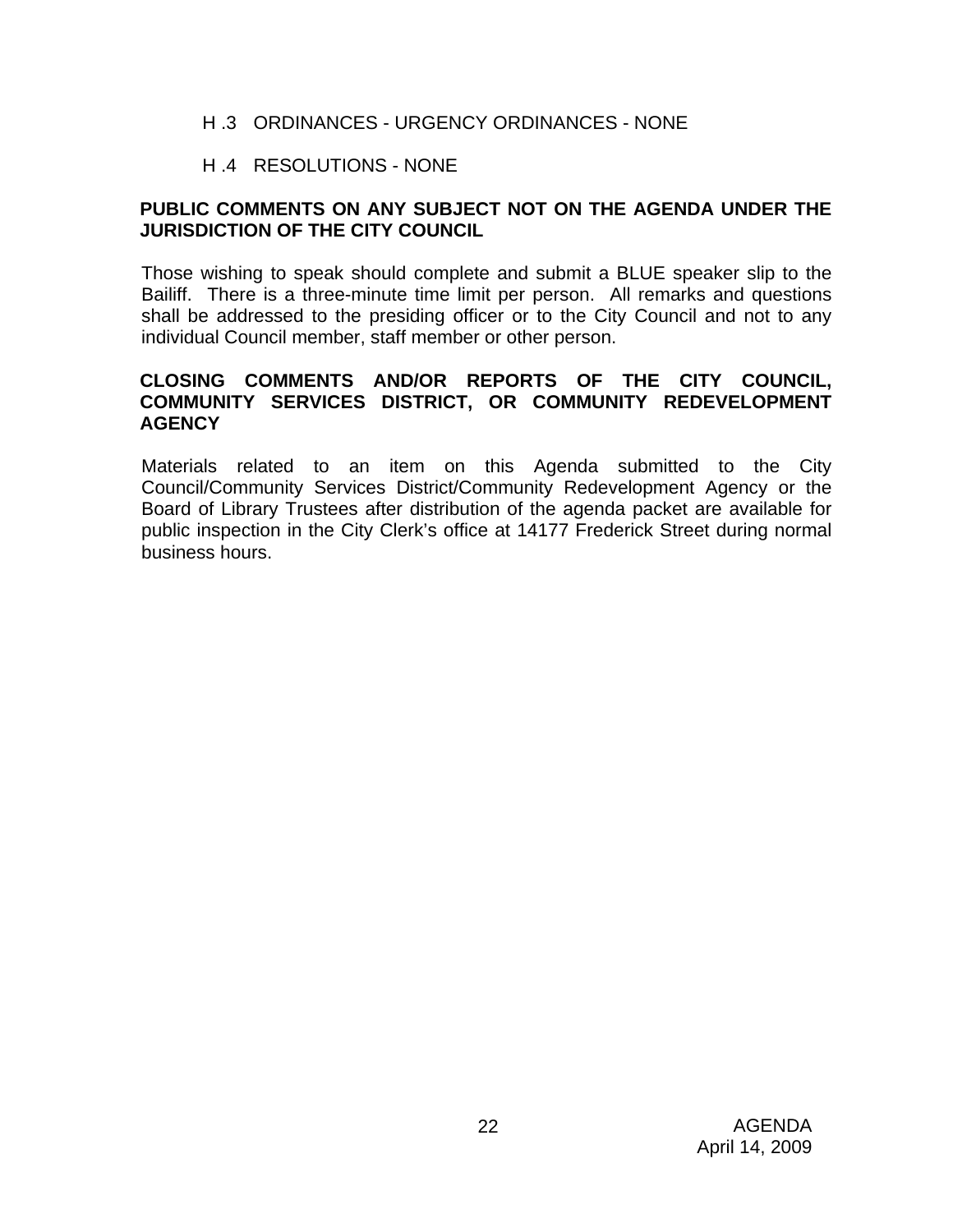### H .3 ORDINANCES - URGENCY ORDINANCES - NONE

### H .4 RESOLUTIONS - NONE

## **PUBLIC COMMENTS ON ANY SUBJECT NOT ON THE AGENDA UNDER THE JURISDICTION OF THE CITY COUNCIL**

Those wishing to speak should complete and submit a BLUE speaker slip to the Bailiff. There is a three-minute time limit per person. All remarks and questions shall be addressed to the presiding officer or to the City Council and not to any individual Council member, staff member or other person.

### **CLOSING COMMENTS AND/OR REPORTS OF THE CITY COUNCIL, COMMUNITY SERVICES DISTRICT, OR COMMUNITY REDEVELOPMENT AGENCY**

Materials related to an item on this Agenda submitted to the City Council/Community Services District/Community Redevelopment Agency or the Board of Library Trustees after distribution of the agenda packet are available for public inspection in the City Clerk's office at 14177 Frederick Street during normal business hours.